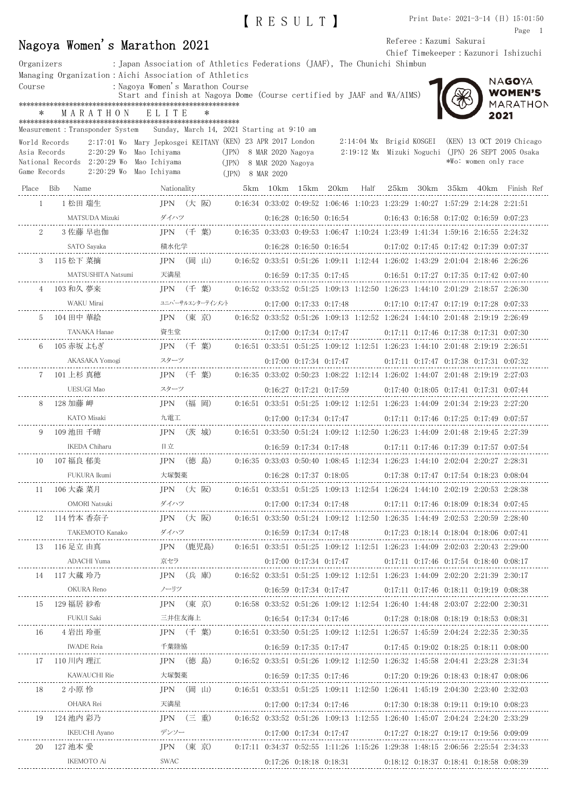|                               |                                                                                                                                 |                                                                           |                  | IRESULTI                      |                          | Print Date: $2021-3-14$ (日) $15:01:50$<br>Page 1                                                                                                                                                  |
|-------------------------------|---------------------------------------------------------------------------------------------------------------------------------|---------------------------------------------------------------------------|------------------|-------------------------------|--------------------------|---------------------------------------------------------------------------------------------------------------------------------------------------------------------------------------------------|
|                               | Nagoya Women's Marathon 2021                                                                                                    |                                                                           |                  |                               | Referee : Kazumi Sakurai |                                                                                                                                                                                                   |
|                               |                                                                                                                                 |                                                                           |                  |                               |                          | Chief Timekeeper: Kazunori Ishizuchi                                                                                                                                                              |
| Organizers                    | Managing Organization: Aichi Association of Athletics                                                                           | : Japan Association of Athletics Federations (JAAF), The Chunichi Shimbun |                  |                               |                          |                                                                                                                                                                                                   |
| Course                        |                                                                                                                                 | : Nagoya Women's Marathon Course                                          |                  |                               |                          | NAGOYA<br><b>WOMEN'S</b>                                                                                                                                                                          |
|                               |                                                                                                                                 | Start and finish at Nagoya Dome (Course certified by JAAF and WA/AIMS)    |                  |                               |                          | <b>MARATHON</b>                                                                                                                                                                                   |
|                               | MARATHON                                                                                                                        | ELITE                                                                     |                  |                               |                          | 2021                                                                                                                                                                                              |
|                               | Measurement: Transponder System Sunday, March 14, 2021 Starting at 9:10 am                                                      |                                                                           |                  |                               |                          |                                                                                                                                                                                                   |
| World Records<br>Asia Records | 2:17:01 Wo Mary Jepkosgei KEITANY (KEN) 23 APR 2017 London<br>2:20:29 Wo Mao Ichiyama                                           |                                                                           |                  | (JPN) 8 MAR 2020 Nagoya       |                          | 2:14:04 Mx Brigid KOSGEI (KEN) 13 OCT 2019 Chicago                                                                                                                                                |
|                               | National Records 2:20:29 Wo Mao Ichiyama                                                                                        |                                                                           |                  | (JPN) 8 MAR 2020 Nagoya       |                          | 2:19:12 Mx Mizuki Noguchi (JPN) 26 SEPT 2005 Osaka<br>*Wo: women only race                                                                                                                        |
| Game Records                  | 2:20:29 Wo Mao Ichiyama                                                                                                         |                                                                           | (JPN) 8 MAR 2020 |                               |                          |                                                                                                                                                                                                   |
|                               |                                                                                                                                 |                                                                           |                  |                               |                          | Nationality 5km 10km 15km 20km Half 25km 30km 35km 40km Finish Ref                                                                                                                                |
|                               | 1 1 松田 瑞生                                                                                                                       |                                                                           |                  |                               |                          | JPN (大 阪)   0:16:34 0:33:02 0:49:52 1:06:46 1:10:23 1:23:29 1:40:27 1:57:29 2:14:28 2:21:51                                                                                                       |
|                               | Mizuki ダイハツ<br>-------------------------<br>MATSUDA Mizuki                                                                      |                                                                           |                  | $0:16:28$ $0:16:50$ $0:16:54$ |                          | $0:16:43$ $0:16:58$ $0:17:02$ $0:16:59$ $0:07:23$                                                                                                                                                 |
|                               | 3 佐藤 早也伽                                                                                                                        | IPN (千 葉)                                                                 |                  |                               |                          | $0.16:35$ $0.33:03$ $0.49:53$ $1.06:47$ $1.10:24$ $1.23:49$ $1.41:34$ $1.59:16$ $2.16:55$ $2.24:32$                                                                                               |
|                               | SATO Sayaka                                                                                                                     |                                                                           |                  |                               |                          | 0:16:28 0:16:50 0:16:54 0:17:02 0:17:45 0:17:42 0:17:39 0:07:37                                                                                                                                   |
|                               | 3 115 松下 菜摘                                                                                                                     | JPN (岡山)                                                                  |                  |                               |                          | $0.16:52$ $0.33:51$ $0.51:26$ $1.09:11$ $1.12:44$ $1.26:02$ $1.43:29$ $2:01:04$ $2:18:46$ $2:26:26$                                                                                               |
|                               |                                                                                                                                 |                                                                           |                  |                               |                          | $0:16:59$ $0:17:35$ $0:17:45$ $0:16:51$ $0:17:27$ $0:17:35$ $0:17:42$ $0:07:40$                                                                                                                   |
|                               | 4 103 和久 夢来                                                                                                                     | IPN (千 葉)                                                                 |                  |                               |                          | $0.16:52$ $0.33:52$ $0.51:25$ $1.09:13$ $1.12:50$ $1.26:23$ $1.44:10$ $2.01:29$ $2.18:57$ $2.26:30$                                                                                               |
|                               | WAKU Mirai                                                                                                                      |                                                                           |                  |                               |                          | $\texttt{min} \begin{minipage}{0.5\textwidth} \begin{tabular}{lcccccc} \texttt{min} & 0.17.00 & 0.17.33 & 0.17.48 & 0.17.10 & 0.17.47 & 0.17.19 & 0.17.28 & 0.07.33 \end{tabular} \end{minipage}$ |
| 5                             | 104 田中 華絵                                                                                                                       | JPN (東 京)                                                                 |                  |                               |                          | $0.16:52$ $0.33:52$ $0.51:26$ $1.09:13$ $1.12:52$ $1.26:24$ $1.44:10$ $2.01:48$ $2:19:19$ $2:26:49$                                                                                               |
|                               |                                                                                                                                 |                                                                           |                  |                               |                          | $0.17:00$ $0.17:34$ $0.17:47$ $0.17:11$ $0.17:46$ $0.17:38$ $0.17:31$ $0.07:30$                                                                                                                   |
|                               | 6 105 赤坂 よもぎ                                                                                                                    | JPN (千 葉)                                                                 |                  |                               |                          | $0.16:51$ $0.33:51$ $0.51:25$ $1.09:12$ $1.12:51$ $1.26:23$ $1.44:10$ $2.01:48$ $2.19:19$ $2.26:51$                                                                                               |
|                               |                                                                                                                                 |                                                                           |                  |                               |                          | $0:17:00$ $0:17:34$ $0:17:47$ $0:17:11$ $0:17:47$ $0:17:38$ $0:17:31$ $0:07:32$                                                                                                                   |
|                               | 7 - 101 上杉 真穂                                                                                                                   | JPN (千 葉)                                                                 |                  |                               |                          | $0.16:35$ $0.33:02$ $0.50:23$ $1.08:22$ $1.12:14$ $1.26:02$ $1.44:07$ $2:01:48$ $2:19:19$ $2:27:03$                                                                                               |
|                               |                                                                                                                                 |                                                                           |                  |                               |                          | $0:16:27$ $0:17:21$ $0:17:59$ $0:17:40$ $0:18:05$ $0:17:41$ $0:17:31$ $0:07:44$                                                                                                                   |
|                               | 8 128 加藤岬                                                                                                                       | JPN (福 岡)                                                                 |                  |                               |                          | $0.16:51$ $0.33:51$ $0.51:25$ $1.09:12$ $1.12:51$ $1.26:23$ $1.44:09$ $2.01:34$ $2.19:23$ $2.27:20$                                                                                               |
|                               |                                                                                                                                 |                                                                           |                  |                               |                          | $0:17:00$ $0:17:34$ $0:17:47$ $0:17:11$ $0:17:46$ $0:17:25$ $0:17:49$ $0:07:57$                                                                                                                   |
| 9                             | 109 池田 千晴<br><b>IKEDA Chiharu</b>                                                                                               | JPN (茨 城)<br>日立                                                           |                  |                               |                          | $0.16:51$ $0.33:50$ $0.51:24$ $1.09:12$ $1.12:50$ $1.26:23$ $1.44:09$ $2.01:48$ $2:19:45$ $2:27:39$                                                                                               |
|                               | 10   107 福良 郁美                                                                                                                  |                                                                           |                  |                               |                          | 0:16:59 0:17:34 0:17:48 0:17:11 0:17:46 0:17:39 0:17:57 0:07:54<br>JPN (徳 島) 0:16:35 0:33:03 0:50:40 1:08:45 1:12:34 1:26:23 1:44:10 2:02:04 2:20:27 2:28:31                                      |
|                               |                                                                                                                                 |                                                                           |                  |                               |                          |                                                                                                                                                                                                   |
|                               | 11 106 大森 菜月        JPN (大 阪)   0:16:51 0:33:51 0:51:25 1:09:13 1:12:54 1:26:24 1:44:10 2:02:19 2:20:53 2:28:38                 |                                                                           |                  |                               |                          |                                                                                                                                                                                                   |
|                               |                                                                                                                                 |                                                                           |                  |                               |                          |                                                                                                                                                                                                   |
|                               | 12 114 竹本 香奈子       JPN (大 阪)  0:16:51 0:33:50 0:51:24 1:09:12 1:12:50 1:26:35 1:44:49 2:02:53 2:20:59 2:28:40                  |                                                                           |                  |                               |                          |                                                                                                                                                                                                   |
|                               |                                                                                                                                 |                                                                           |                  |                               |                          |                                                                                                                                                                                                   |
|                               | 13 116 足立 由真 <b>JPN</b> (鹿児島)                                                                                                   |                                                                           |                  |                               |                          | $0.16:51$ $0.33:51$ $0.51:25$ $1.09:12$ $1.12:51$ $1.26:23$ $1.44:09$ $2.02:03$ $2.20:43$ $2.29:00$                                                                                               |
|                               |                                                                                                                                 |                                                                           |                  |                               |                          | $0:17:00 \quad 0:17:34 \quad 0:17:47 \qquad \qquad 0:17:11 \quad 0:17:46 \quad 0:17:54 \quad 0:18:40 \quad 0:08:17$                                                                               |
|                               | 14 - 117 大蔵 玲乃                                                                                                                  |                                                                           |                  |                               |                          | JPN (兵 庫)   0:16:52 0:33:51 0:51:25 1:09:12 1:12:51 1:26:23 1:44:09 2:02:20 2:21:39 2:30:17                                                                                                       |
|                               | 0.16:59 0.17:34 0.17:47 0.17:11 0.17:46 0.18:11 0.19:19 0.08:38 0.17:34 0.17:34 0.17:47 0.17:11 0.17:46 0.18:11 0.19:19 0.08:38 |                                                                           |                  |                               |                          |                                                                                                                                                                                                   |
|                               | 15 129 福居 紗希 JPN (東京) 0:16:58 0:33:52 0:51:26 1:09:12 1:12:54 1:26:40 1:44:48 2:03:07 2:22:00 2:30:31                           |                                                                           |                  |                               |                          |                                                                                                                                                                                                   |
|                               |                                                                                                                                 |                                                                           |                  |                               |                          |                                                                                                                                                                                                   |

|    | OKURA Reno        | ノーリツ              |       |    |  | $0:16:59$ $0:17:34$ $0:17:47$                                                                       |  | $0:17:11$ $0:17:46$ $0:18:11$ $0:19:19$ $0:08:38$ |  |                                                   |  |
|----|-------------------|-------------------|-------|----|--|-----------------------------------------------------------------------------------------------------|--|---------------------------------------------------|--|---------------------------------------------------|--|
| 15 | 129 福居 紗希         | IPN (東京)          |       |    |  | $0.16.58$ $0.33.52$ $0.51.26$ $1.09.12$ $1.12.54$ $1.26.40$ $1.44.48$ $2.03.07$ $2.22.00$ $2.30.31$ |  |                                                   |  |                                                   |  |
|    | FUKUI Saki        | 三井住友海上            |       |    |  | $0.16:54$ $0.17:34$ $0.17:46$ $0.17:28$ $0.18:08$ $0.18:19$ $0.18:53$ $0.08:31$                     |  |                                                   |  |                                                   |  |
| 16 | 4岩出 玲亜            | IPN $($ $+$ 葉 $)$ |       |    |  | $0.16.51$ $0.33.50$ $0.51.25$ $1.09.12$ $1.12.51$ $1.26.57$ $1.45.59$ $2.04.24$ $2.22.35$ $2.30.35$ |  |                                                   |  |                                                   |  |
|    | <b>IWADE</b> Reia | 千葉陸協              |       |    |  | $0:16:59$ $0:17:35$ $0:17:47$ $0:17:45$ $0:19:02$ $0:18:25$ $0:18:11$ $0:08:00$                     |  |                                                   |  |                                                   |  |
| 17 | 110 川内 理江         | IPN               | (徳 島) |    |  | $0.16.52$ $0.33.51$ $0.51.26$ $1.09.12$ $1.12.50$ $1.26.32$ $1.45.58$ $2.04.41$ $2.23.28$ $2.31.34$ |  |                                                   |  |                                                   |  |
|    | KAWAUCHI Rie      | 大塚製薬              |       |    |  | $0:16:59$ $0:17:35$ $0:17:46$                                                                       |  | $0.17:20$ $0.19:26$ $0.18:43$ $0.18:47$ $0.08:06$ |  |                                                   |  |
| 18 | 2 小原 怜            | <b>IPN</b>        | (岡    | 山) |  | $0.16.51$ $0.33.51$ $0.51.25$ $1.09.11$ $1.12.50$ $1.26.41$ $1.45.19$ $2.04.30$ $2.23.40$ $2.32.03$ |  |                                                   |  |                                                   |  |
|    | OHARA Rei         | 天満屋               |       |    |  | $0:17:00$ $0:17:34$ $0:17:46$                                                                       |  | $0.17:30$ $0.18:38$ $0.19:11$ $0.19:10$ $0.08:23$ |  |                                                   |  |
| 19 | 124 池内 彩乃         | $IPN$ (三 重)       |       |    |  | $0.16.52$ $0.33.52$ $0.51.26$ $1.09.13$ $1.12.55$ $1.26.40$ $1.45.07$ $2.04.24$ $2.24.20$ $2.33.29$ |  |                                                   |  |                                                   |  |
|    | IKEUCHI Ayano     | デンソー              |       |    |  | $0:17:00$ $0:17:34$ $0:17:47$                                                                       |  |                                                   |  | $0:17:27$ $0:18:27$ $0:19:17$ $0:19:56$ $0:09:09$ |  |
| 20 | 127 池本 愛          | $IPN$ (東京)        |       |    |  | $0:17:11$ $0:34:37$ $0:52:55$ $1:11:26$ $1:15:26$ $1:29:38$ $1:48:15$ $2:06:56$ $2:25:54$ $2:34:33$ |  |                                                   |  |                                                   |  |
|    | <b>IKEMOTO Ai</b> | SWAC              |       |    |  | $0:17:26$ $0:18:18$ $0:18:31$                                                                       |  |                                                   |  | $0.18.12$ $0.18.37$ $0.18.41$ $0.18.58$ $0.08.39$ |  |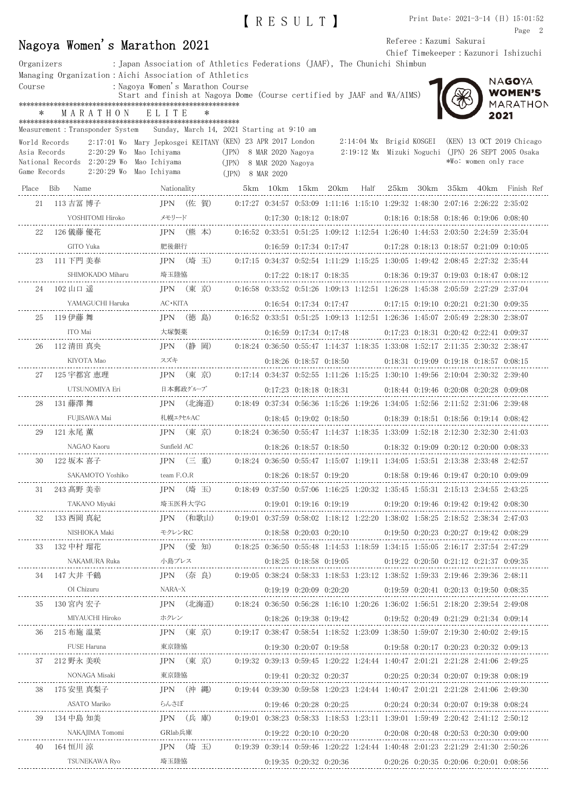|            |                                                          | IRESULTI                                                                  |                                      | Print Date: 2021-3-14 (日) 15:01:52 |
|------------|----------------------------------------------------------|---------------------------------------------------------------------------|--------------------------------------|------------------------------------|
|            |                                                          |                                                                           |                                      | Page 2                             |
|            | Nagoya Women's Marathon 2021                             |                                                                           | Referee : Kazumi Sakurai             |                                    |
|            |                                                          |                                                                           | Chief Timekeeper: Kazunori Ishizuchi |                                    |
| Organizers |                                                          | : Japan Association of Athletics Federations (JAAF), The Chunichi Shimbun |                                      |                                    |
|            | Managing Organization : Aichi Association of Athletics   |                                                                           |                                      |                                    |
|            | $\mathbf{M}$ and $\mathbf{M}$ is the set of $\mathbf{M}$ |                                                                           |                                      | NAGOYA                             |

Course : Nagoya Women's Marathon Course Start and finish at Nagoya Dome (Course certified by JAAF and WA/AIMS)

## \*\*\*\*\*\*\*\*\*\*\*\*\*\*\*\*\*\*\*\*\*\*\*\*\*\*\*\*\*\*\*\*\*\*\*\*\*\*\*\*\*\*\*\*\*\*\*\*\*\*\*\*\*\*\*\*\* \* MARATHON ELITE \*

\*\*\*\*\*\*\*\*\*\*\*\*\*\*\*\*\*\*\*\*\*\*\*\*\*\*\*\*\*\*\*\*\*\*\*\*\*\*\*\*\*\*\*\*\*\*\*\*\*\*\*\*\*\*\*\*\* Measurement:Transponder System Sunday, March 14, 2021 Starting at 9:10 am

| World Records<br>Asia Records<br>Game Records | 2:20:29 Wo<br>National Records 2:20:29 Wo | measurement. Hansponuer bystem – bunuay, martn 14, 2021 btartriig at 0.10 am<br>2:17:01 Wo Mary Jepkosgei KEITANY (KEN) 23 APR 2017 London<br>Mao Ichiyama<br>Mao Ichiyama<br>2:20:29 Wo Mao Ichiyama | (JPN) 8 MAR 2020 Nagoya<br>(JPN) 8 MAR 2020 Nagoya<br>(JPN) 8 MAR 2020 |                               |                               | 2:14:04 Mx Brigid KOSGEI (KEN) 13 OCT 2019 Chicago<br>2:19:12 Mx Mizuki Noguchi (JPN) 26 SEPT 2005 Osaka<br>*Wo: women only race               |
|-----------------------------------------------|-------------------------------------------|-------------------------------------------------------------------------------------------------------------------------------------------------------------------------------------------------------|------------------------------------------------------------------------|-------------------------------|-------------------------------|------------------------------------------------------------------------------------------------------------------------------------------------|
|                                               | Place Bib Name                            | Nationality                                                                                                                                                                                           |                                                                        |                               |                               | 5km 10km 15km 20km Half 25km 30km 35km 40km Finish Ref                                                                                         |
| 21                                            | 113 吉冨 博子                                 |                                                                                                                                                                                                       |                                                                        |                               |                               | JPN (佐 賀) 0:17:27 0:34:57 0:53:09 1:11:16 1:15:10 1:29:32 1:48:30 2:07:16 2:26:22 2:35:02                                                      |
|                                               | YOSHITOMI Hiroko                          | жо メモリード<br>---------------------                                                                                                                                                                     |                                                                        | $0:17:30$ $0:18:12$ $0:18:07$ |                               | $0:18:16$ $0:18:58$ $0:18:46$ $0:19:06$ $0:08:40$                                                                                              |
| 22                                            | - 126 儀藤 優花                               |                                                                                                                                                                                                       |                                                                        |                               |                               | JPN (熊 本) 0:16:52 0:33:51 0:51:25 1:09:12 1:12:54 1:26:40 1:44:53 2:03:50 2:24:59 2:35:04                                                      |
|                                               | GITO Yuka                                 | 肥後銀行                                                                                                                                                                                                  |                                                                        | $0:16:59$ $0:17:34$ $0:17:47$ |                               | 0:17:28 0:18:13 0:18:57 0:21:09 0:10:05                                                                                                        |
| 23                                            | 111 下門 美春                                 | JPN (埼 玉)                                                                                                                                                                                             |                                                                        |                               |                               | $0.17:15$ $0.34:37$ $0.52:54$ $1.11:29$ $1.15:25$ $1.30:05$ $1.49:42$ $2.08:45$ $2.27:32$ $2.35:44$                                            |
|                                               | SHIMOKADO Miharu                          | 埼玉陸協<br>/liharu<br>----------------                                                                                                                                                                   |                                                                        | $0:17:22$ $0:18:17$ $0:18:35$ |                               | $0.18.36$ $0.19.37$ $0.19.03$ $0.18.47$ $0.08.12$                                                                                              |
| 24                                            | 102 山口 遥                                  | JPN (東 京)                                                                                                                                                                                             |                                                                        |                               |                               | $0.16:58$ $0.33:52$ $0.51:26$ $1.09:13$ $1.12:51$ $1.26:28$ $1.45:38$ $2.05:59$ $2.27:29$ $2:37:04$                                            |
|                                               | YAMAGUCHI Haruka                          | AC∙KITA                                                                                                                                                                                               |                                                                        | $0:16:54$ $0:17:34$ $0:17:47$ |                               | $0:17:15$ $0:19:10$ $0:20:21$ $0:21:30$ $0:09:35$                                                                                              |
| 25                                            | 119 伊藤 舞                                  | JPN (徳 島)                                                                                                                                                                                             |                                                                        |                               |                               | $0.16:52$ $0.33:51$ $0.51:25$ $1.09:13$ $1.12:51$ $1.26:36$ $1.45:07$ $2.05:49$ $2.28:30$ $2.38:07$                                            |
|                                               | ITO Mai                                   | 大塚製薬                                                                                                                                                                                                  |                                                                        | $0:16:59$ $0:17:34$ $0:17:48$ |                               | $0:17:23$ $0:18:31$ $0:20:42$ $0:22:41$ $0:09:37$                                                                                              |
| 26                                            | 112 清田 真央                                 | IPN (静 岡)                                                                                                                                                                                             |                                                                        |                               |                               | $0.18.24$ $0.36.50$ $0.55.47$ $1.14.37$ $1.18.35$ $1.33.08$ $1.52.17$ $2.11.35$ $2.30.32$ $2.38.47$                                            |
|                                               |                                           | スズキ                                                                                                                                                                                                   |                                                                        | $0:18:26$ $0:18:57$ $0:18:50$ |                               | $0:18:31$ $0:19:09$ $0:19:18$ $0:18:57$ $0:08:15$                                                                                              |
| 27                                            | 125 宇都宮 恵理                                | JPN (東 京)                                                                                                                                                                                             |                                                                        |                               |                               | $0.17:14$ $0.34:37$ $0.52:55$ $1.11:26$ $1.15:25$ $1.30:10$ $1.49:56$ $2.10:04$ $2.30:32$ $2.39:40$                                            |
|                                               | UTSUNOMIYA Eri                            |                                                                                                                                                                                                       |                                                                        |                               |                               | 日本郵政ゲループ         0:17:23 0:18:18 0:18:31      0:18:44 0:19:46 0:20:08 0:20:28 0:09:08                                                          |
| 28                                            | 131 藤澤 舞                                  | JPN (北海道)                                                                                                                                                                                             |                                                                        |                               |                               | $0.18.49$ $0.37.34$ $0.56.36$ $1.15.26$ $1.19.26$ $1.34.05$ $1.52.56$ $2.11.52$ $2.31.06$ $2.39.48$                                            |
|                                               |                                           | 札幌エクセルAC<br>------------------                                                                                                                                                                        |                                                                        |                               |                               | $0:18:45$ $0:19:02$ $0:18:50$ $0:18:39$ $0:18:51$ $0:18:56$ $0:19:14$ $0:08:42$                                                                |
| 29                                            | 121 永尾 薫                                  | JPN (東 京)                                                                                                                                                                                             |                                                                        |                               |                               | $0.18.24$ $0.36.50$ $0.55.47$ $1.14.37$ $1.18.35$ $1.33.09$ $1.52.18$ $2.12.30$ $2.32.30$ $2.41.03$                                            |
|                                               | NAGAO Kaoru                               | Sunfield AC                                                                                                                                                                                           |                                                                        |                               |                               | $0.18:26$ $0.18:57$ $0.18:50$ $0.18:32$ $0.19:09$ $0.20:12$ $0.20:00$ $0.08:33$                                                                |
| 30                                            | 122 坂本 喜子                                 | JPN (三 重)                                                                                                                                                                                             |                                                                        |                               |                               | $0.18.24$ $0.36.50$ $0.55.47$ $1.15.07$ $1.19.11$ $1.34.05$ $1.53.51$ $2.13.38$ $2.33.48$ $2.42.57$                                            |
|                                               | SAKAMOTO Yoshiko                          | team F.O.R                                                                                                                                                                                            |                                                                        |                               |                               | 0:18:26 0:18:57 0:19:20 0:18:58 0:19:46 0:19:47 0:20:10 0:09:09                                                                                |
| 31                                            | 243 髙野 美幸                                 | JPN (埼 玉)                                                                                                                                                                                             |                                                                        |                               |                               | $0.18.49$ $0.37.50$ $0.57.06$ $1.16.25$ $1.20.32$ $1.35.45$ $1.55.31$ $2.15.13$ $2.34.55$ $2.43.25$                                            |
|                                               |                                           |                                                                                                                                                                                                       |                                                                        |                               |                               | $0.19:01$ $0.37:59$ $0.58:02$ $1.18:12$ $1.22:20$ $1.38:02$ $1.58:25$ $2.18:52$ $2.38:34$ $2.47:03$                                            |
| 32                                            | 133 西岡 真紀                                 | JPN (和歌山)                                                                                                                                                                                             |                                                                        |                               |                               |                                                                                                                                                |
| 33                                            | 132 中村 瑠花                                 | JPN (愛知)                                                                                                                                                                                              |                                                                        |                               | $0:18:58$ $0:20:03$ $0:20:10$ | 0:19:50 0:20:23 0:20:27 0:19:42 0:08:29<br>$0.18:25$ $0.36:50$ $0.55:48$ $1.14:53$ $1.18:59$ $1.34:15$ $1.55:05$ $2.16:17$ $2:37:54$ $2:47:29$ |
|                                               | NAKAMURA Ruka                             | 小島プレス                                                                                                                                                                                                 |                                                                        |                               |                               | $0.18.25 \quad 0.18.58 \quad 0.19.05 \qquad \qquad 0.19.22 \quad 0.20.50 \quad 0.21.12 \quad 0.21.37 \quad 0.09.35$                            |
|                                               | 34 147 大井 千鶴                              |                                                                                                                                                                                                       |                                                                        |                               |                               | JPN (奈 良)   0:19:05 0:38:24 0:58:33 1:18:53 1:23:12 1:38:52 1:59:33 2:19:46 2:39:36 2:48:11                                                    |
|                                               |                                           |                                                                                                                                                                                                       |                                                                        |                               |                               |                                                                                                                                                |
| 35                                            |                                           | 130 宮内 宏子 [PN (北海道) 0:18:24 0:36:50 0:56:28 1:16:10 1:20:26 1:36:02 1:56:51 2:18:20 2:39:54 2:49:08                                                                                                   |                                                                        |                               |                               |                                                                                                                                                |
|                                               |                                           | MIYAUCHI Hiroko ホクレン               0:18:26 0:19:38 0:19:42     0:19:52 0:20:49 0:21:29 0:21:34 0:09:14     0:19:52 0:20:49 1:21:29 1:21:34 1:009:14                                                   |                                                                        |                               |                               |                                                                                                                                                |
| 36                                            | 215 布施 温菜                                 |                                                                                                                                                                                                       |                                                                        |                               |                               | JPN (東 京) 0:19:17 0:38:47 0:58:54 1:18:52 1:23:09 1:38:50 1:59:07 2:19:30 2:40:02 2:49:15                                                      |
|                                               |                                           |                                                                                                                                                                                                       |                                                                        |                               |                               |                                                                                                                                                |
| 37                                            |                                           | 212 野永 美咲 JPN (東 京) 0:19:32 0:39:13 0:59:45 1:20:22 1:24:44 1:40:47 2:01:21 2:21:28 2:41:06 2:49:25                                                                                                   |                                                                        |                               |                               |                                                                                                                                                |
|                                               |                                           |                                                                                                                                                                                                       |                                                                        |                               |                               |                                                                                                                                                |
|                                               | 38   175 安里 真梨子                           |                                                                                                                                                                                                       |                                                                        |                               |                               | JPN (沖縄) 0:19:44 0:39:30 0:59:58 1:20:23 1:24:44 1:40:47 2:01:21 2:21:28 2:41:06 2:49:30                                                       |
|                                               | ASATO Mariko                              |                                                                                                                                                                                                       |                                                                        |                               |                               |                                                                                                                                                |
| 39                                            | 134 中島 知美                                 |                                                                                                                                                                                                       |                                                                        |                               |                               | JPN (兵庫) 0:19:01 0:38:23 0:58:33 1:18:53 1:23:11 1:39:01 1:59:49 2:20:42 2:41:12 2:50:12                                                       |
|                                               |                                           |                                                                                                                                                                                                       |                                                                        |                               |                               |                                                                                                                                                |
| 40                                            | 164 恒川 涼                                  |                                                                                                                                                                                                       |                                                                        |                               |                               | JPN (埼玉) 0:19:39 0:39:14 0:59:46 1:20:22 1:24:44 1:40:48 2:01:23 2:21:29 2:41:30 2:50:26                                                       |
|                                               |                                           |                                                                                                                                                                                                       |                                                                        |                               |                               |                                                                                                                                                |

**WOMEN'S** MARATHON

2021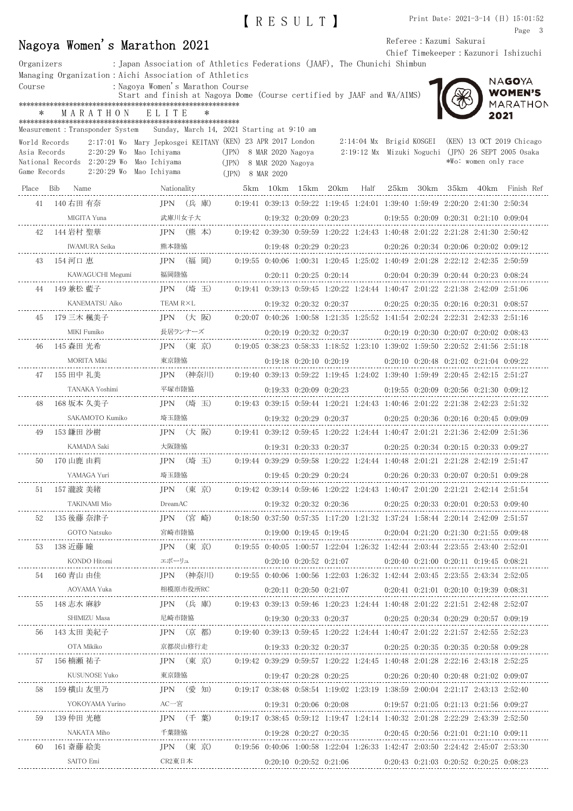|               |                                                                                                                   |                                                                                                                  |            |                                                                                           |                   | IRESULT)                      |                               |                          |                                                                                                     |                      | Print Date: $2021-3-14$ (日) $15:01:52$<br>Page 3   |  |
|---------------|-------------------------------------------------------------------------------------------------------------------|------------------------------------------------------------------------------------------------------------------|------------|-------------------------------------------------------------------------------------------|-------------------|-------------------------------|-------------------------------|--------------------------|-----------------------------------------------------------------------------------------------------|----------------------|----------------------------------------------------|--|
|               | Nagoya Women's Marathon 2021                                                                                      |                                                                                                                  |            |                                                                                           |                   |                               |                               |                          | Referee : Kazumi Sakurai                                                                            |                      |                                                    |  |
| Organizers    |                                                                                                                   | : Japan Association of Athletics Federations (JAAF), The Chunichi Shimbun                                        |            |                                                                                           |                   |                               |                               |                          |                                                                                                     |                      | Chief Timekeeper: Kazunori Ishizuchi               |  |
|               | Managing Organization:Aichi Association of Athletics                                                              |                                                                                                                  |            |                                                                                           |                   |                               |                               |                          |                                                                                                     |                      | NAGOYA                                             |  |
| Course        |                                                                                                                   | : Nagoya Women's Marathon Course<br>Start and finish at Nagoya Dome (Course certified by JAAF and WA/AIMS)       |            |                                                                                           |                   |                               |                               |                          |                                                                                                     |                      | <b>WOMEN'S</b>                                     |  |
| $\ast$        | MARATHON                                                                                                          | ELITE                                                                                                            |            |                                                                                           |                   |                               |                               |                          |                                                                                                     | 2021                 | MARATHON                                           |  |
|               |                                                                                                                   |                                                                                                                  |            | Sunday, March 14, 2021 Starting at 9:10 am                                                |                   |                               |                               |                          |                                                                                                     |                      |                                                    |  |
| World Records | Measurement : Transponder System                                                                                  | 2:17:01 Wo Mary Jepkosgei KEITANY (KEN) 23 APR 2017 London                                                       |            |                                                                                           |                   |                               |                               | 2:14:04 Mx Brigid KOSGEI |                                                                                                     |                      | (KEN) 13 OCT 2019 Chicago                          |  |
| Asia Records  |                                                                                                                   | 2:20:29 Wo Mao Ichiyama                                                                                          |            | (JPN) 8 MAR 2020 Nagoya                                                                   |                   |                               |                               |                          |                                                                                                     |                      | 2:19:12 Mx Mizuki Noguchi (JPN) 26 SEPT 2005 Osaka |  |
| Game Records  | National Records  2:20:29 Wo  Mao Ichiyama                                                                        | 2:20:29 Wo Mao Ichiyama                                                                                          |            | (JPN)<br>(JPN) 8 MAR 2020                                                                 | 8 MAR 2020 Nagoya |                               |                               |                          |                                                                                                     | *Wo: women only race |                                                    |  |
| Place Bib     | Name                                                                                                              | Nationality                                                                                                      |            |                                                                                           |                   | 5km 10km 15km 20km            |                               | Half                     |                                                                                                     |                      | 25km 30km 35km 40km Finish Ref                     |  |
| 41            | 140 右田 有奈                                                                                                         | $IPN$ (兵庫)                                                                                                       |            |                                                                                           |                   |                               |                               |                          | $0.19:41$ $0.39:13$ $0.59:22$ $1.19:45$ $1.24:01$ $1.39:40$ $1.59:49$ $2.20:20$ $2.41:30$ $2.50:34$ |                      |                                                    |  |
|               | MIGITA Yuna                                                                                                       | 武庫川女子大                                                                                                           |            |                                                                                           |                   | $0:19:32$ $0:20:09$ $0:20:23$ |                               |                          | $0.19.55$ $0.20.09$ $0.20.31$ $0.21.10$ $0.09.04$                                                   |                      |                                                    |  |
| 42            | 144 岩村 聖華                                                                                                         | JPN (熊本)                                                                                                         |            |                                                                                           |                   |                               |                               |                          | $0.19:42$ $0.39:30$ $0.59:59$ $1.20:22$ $1.24:43$ $1.40:48$ $2.01:22$ $2.21:28$ $2.41:30$ $2.50:42$ |                      |                                                    |  |
|               | IWAMURA Seika                                                                                                     | 熊本陸協                                                                                                             |            |                                                                                           |                   | $0:19:48$ $0:20:29$ $0:20:23$ |                               |                          | $0:20:26$ $0:20:34$ $0:20:06$ $0:20:02$ $0:09:12$                                                   |                      |                                                    |  |
| 43            | 154 河口 恵                                                                                                          |                                                                                                                  | JPN (福 岡)  |                                                                                           |                   |                               |                               |                          | $0.19:55$ $0.40:06$ $1:00:31$ $1:20:45$ $1:25:02$ $1:40:49$ $2:01:28$ $2:22:12$ $2:42:35$ $2:50:59$ |                      |                                                    |  |
|               | KAWAGUCHI Megumi                                                                                                  | 福岡陸協                                                                                                             |            |                                                                                           |                   | $0:20:11$ $0:20:25$ $0:20:14$ |                               |                          | $0:20:04$ $0:20:39$ $0:20:44$ $0:20:23$ $0:08:24$                                                   |                      |                                                    |  |
| 44            | 149 兼松 藍子                                                                                                         |                                                                                                                  | $IPN$ (埼玉) |                                                                                           |                   |                               |                               |                          | $0.19:41$ $0.39:13$ $0.59:45$ $1.20:22$ $1.24:44$ $1.40:47$ $2.01:22$ $2.21:38$ $2.42:09$ $2.51:06$ |                      |                                                    |  |
|               | KANEMATSU Aiko                                                                                                    | TEAM R×L                                                                                                         |            |                                                                                           |                   | $0:19:32$ $0:20:32$ $0:20:37$ |                               |                          | $0:20:25$ $0:20:35$ $0:20:16$ $0:20:31$ $0:08:57$                                                   |                      |                                                    |  |
| 45            | 179 三木 楓美子                                                                                                        |                                                                                                                  | $IPN$ (大阪) |                                                                                           |                   |                               |                               |                          | $0:20:07$ $0:40:26$ $1:00:58$ $1:21:35$ $1:25:52$ $1:41:54$ $2:02:24$ $2:22:31$ $2:42:33$ $2:51:16$ |                      |                                                    |  |
|               | MIKI Fumiko                                                                                                       |                                                                                                                  | 長居ランナーズ    |                                                                                           |                   | $0:20:19$ $0:20:32$ $0:20:37$ |                               |                          | $0:20:19$ $0:20:30$ $0:20:07$ $0:20:02$ $0:08:43$                                                   |                      |                                                    |  |
| 46            | 145 森田 光希                                                                                                         |                                                                                                                  | JPN (東 京)  |                                                                                           |                   |                               |                               |                          | $0:19:05$ $0:38:23$ $0:58:33$ $1:18:52$ $1:23:10$ $1:39:02$ $1:59:50$ $2:20:52$ $2:41:56$ $2:51:18$ |                      |                                                    |  |
|               | MORITA Miki                                                                                                       | 東京陸協                                                                                                             |            |                                                                                           |                   | $0:19:18$ $0:20:10$ $0:20:19$ |                               |                          | $0:20:10$ $0:20:48$ $0:21:02$ $0:21:04$ $0:09:22$                                                   |                      |                                                    |  |
| 47            | 155 田中 礼美                                                                                                         |                                                                                                                  | JPN (神奈川)  |                                                                                           |                   |                               |                               |                          | $0.19:40$ $0.39:13$ $0.59:22$ $1.19:45$ $1.24:02$ $1.39:40$ $1.59:49$ $2.20:45$ $2.42:15$ $2.51:27$ |                      |                                                    |  |
|               | TANAKA Yoshimi                                                                                                    | 平塚市陸協                                                                                                            |            |                                                                                           |                   | $0:19:33$ $0:20:09$ $0:20:23$ |                               |                          | $0.19.55$ $0.20.09$ $0.20.56$ $0.21.30$ $0.09.12$                                                   |                      |                                                    |  |
| 48            | 168 坂本 久美子                                                                                                        |                                                                                                                  | JPN (埼 玉)  |                                                                                           |                   |                               |                               |                          | $0:19:43$ $0:39:15$ $0:59:44$ $1:20:21$ $1:24:43$ $1:40:46$ $2:01:22$ $2:21:38$ $2:42:23$ $2:51:32$ |                      |                                                    |  |
|               | SAKAMOTO Kumiko                                                                                                   | 埼玉陸協                                                                                                             |            |                                                                                           |                   |                               | $0:19:32$ $0:20:29$ $0:20:37$ |                          | $0.20.25$ $0.20.36$ $0.20.16$ $0.20.45$ $0.09.09$                                                   |                      |                                                    |  |
| 49            | 153 鎌田 沙樹                                                                                                         | JPN                                                                                                              | (大 阪)      |                                                                                           |                   |                               |                               |                          | $0:19:41$ $0:39:12$ $0:59:45$ $1:20:22$ $1:24:44$ $1:40:47$ $2:01:21$ $2:21:36$ $2:42:09$ $2:51:36$ |                      |                                                    |  |
|               | KAMADA Saki                                                                                                       | 大阪陸協                                                                                                             |            |                                                                                           |                   |                               |                               |                          | $0:19:31$ $0:20:33$ $0:20:37$ $0:20:25$ $0:20:34$ $0:20:15$ $0:20:33$ $0:09:27$                     |                      |                                                    |  |
|               | 50 170 山鹿 由莉                                                                                                      |                                                                                                                  |            | JPN (埼玉) 0:19:44 0:39:29 0:59:58 1:20:22 1:24:44 1:40:48 2:01:21 2:21:28 2:42:19 2:51:47  |                   |                               |                               |                          |                                                                                                     |                      |                                                    |  |
|               |                                                                                                                   |                                                                                                                  |            |                                                                                           |                   |                               |                               |                          |                                                                                                     |                      |                                                    |  |
|               | 51 157 瀧波 美緒         JPN  (東 京)   0:19:42 0:39:14 0:59:46 1:20:22 1:24:43 1:40:47 2:01:20 2:21:21 2:42:14 2:51:54 |                                                                                                                  |            |                                                                                           |                   |                               |                               |                          |                                                                                                     |                      |                                                    |  |
|               | TAKINAMI Mio DreamAC 0:19:32 0:20:33 0:20:36 0:20:25 0:20:33 0:20:01 0:20:53 0:09:40                              |                                                                                                                  |            |                                                                                           |                   |                               |                               |                          |                                                                                                     |                      |                                                    |  |
|               | 52 - 135 後藤 奈津子                                                                                                   | JPN (宮 崎) 0:18:50 0:37:50 0:57:35 1:17:20 1:21:32 1:37:24 1:58:44 2:20:14 2:42:09 2:51:57                        |            |                                                                                           |                   |                               |                               |                          |                                                                                                     |                      |                                                    |  |
|               |                                                                                                                   |                                                                                                                  |            |                                                                                           |                   |                               |                               |                          |                                                                                                     |                      |                                                    |  |
|               | 53 138 近藤 瞳         JPN (東 京)   0:19:55 0:40:05 1:00:57 1:22:04 1:26:32 1:42:44 2:03:44 2:23:55 2:43:40 2:52:01   |                                                                                                                  |            |                                                                                           |                   |                               |                               |                          |                                                                                                     |                      |                                                    |  |
|               |                                                                                                                   |                                                                                                                  |            |                                                                                           |                   |                               |                               |                          |                                                                                                     |                      |                                                    |  |
| 54            | 160 青山 由佳                                                                                                         |                                                                                                                  |            | JPN (神奈川) 0:19:55 0:40:06 1:00:56 1:22:03 1:26:32 1:42:44 2:03:45 2:23:55 2:43:34 2:52:05 |                   |                               |                               |                          |                                                                                                     |                      |                                                    |  |
|               |                                                                                                                   |                                                                                                                  |            |                                                                                           |                   |                               |                               |                          |                                                                                                     |                      |                                                    |  |
| 55            | 148 志水 麻紗                                                                                                         | JPN (兵 庫)   0:19:43 0:39:13 0:59:46 1:20:23 1:24:44 1:40:48 2:01:22 2:21:51 2:42:48 2:52:07                      |            |                                                                                           |                   |                               |                               |                          |                                                                                                     |                      |                                                    |  |
|               |                                                                                                                   |                                                                                                                  |            |                                                                                           |                   |                               |                               |                          |                                                                                                     |                      |                                                    |  |
|               |                                                                                                                   | 56 143 太田 美紀子        JPN (京 都)   0:19:40 0:39:13 0:59:45 1:20:22 1:24:44 1:40:47 2:01:22 2:21:57 2:42:55 2:52:23 |            |                                                                                           |                   |                               |                               |                          |                                                                                                     |                      |                                                    |  |

京都炭山修行走 0:19:33 0:20:32 0:20:37 0:20:25 0:20:35 0:20:35 0:20:58 0:09:28

東京陸協 0:19:47 0:20:28 0:20:25 0:20:26 0:20:40 0:20:48 0:21:02 0:09:07

AC一宮 0:19:31 0:20:06 0:20:08 0:19:57 0:21:05 0:21:13 0:21:56 0:09:27

千葉陸協 0:19:28 0:20:27 0:20:35 0:20:45 0:20:56 0:21:01 0:21:10 0:09:11

 $0.20\mathpunct{:}43 \quad 0.21\mathpunct{:}03 \quad 0.20\mathpunct{:}52 \quad 0.20\mathpunct{:}25 \quad 0.08\mathpunct{:}23$ 

57 156 楠瀬 祐子 JPN (東 京) 0:19:42 0:39:29 0:59:57 1:20:22 1:24:45 1:40:48 2:01:28 2:22:16 2:43:18 2:52:25

58 159 横山 友里乃 JPN (愛 知) 0:19:17 0:38:48 0:58:54 1:19:02 1:23:19 1:38:59 2:00:04 2:21:17 2:43:13 2:52:40

59 139 仲田 光穂 JPN (千 葉) 0:19:17 0:38:45 0:59:12 1:19:47 1:24:14 1:40:32 2:01:28 2:22:29 2:43:39 2:52:50

60 161 斎藤 絵美 JPN (東 京) 0:19:56 0:40:06 1:00:58 1:22:04 1:26:33 1:42:47 2:03:50 2:24:42 2:45:07 2:53:30

CR2東日本 0:20:10 0:20:52 0:21:06

JPN (東 京)

(愛 知)

 $JPN$  (千 葉)

JPN (東 京)

OTA Mikiko

KUSUNOSE Yuko<br>----------------------------------

SAITO Emi

NAKATA Miho

\_\_\_\_\_\_\_\_\_\_\_\_\_\_\_\_\_

YOKOYAMA Yurino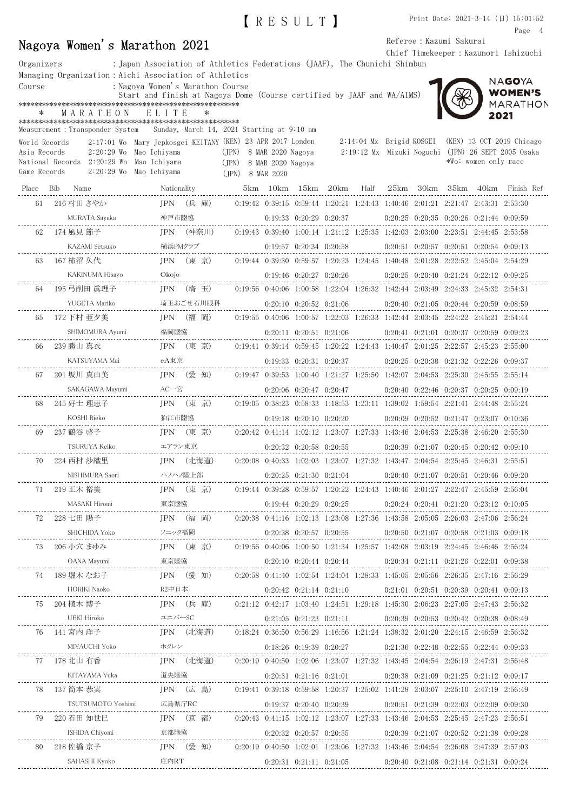|               |                                                        |                                  |                                                                                                             |      |                          | Page 4                                                                          |
|---------------|--------------------------------------------------------|----------------------------------|-------------------------------------------------------------------------------------------------------------|------|--------------------------|---------------------------------------------------------------------------------|
|               | Nagoya Women's Marathon 2021                           |                                  |                                                                                                             |      | Referee : Kazumi Sakurai |                                                                                 |
| Organizers    |                                                        |                                  | : Japan Association of Athletics Federations (JAAF), The Chunichi Shimbun                                   |      |                          | Chief Timekeeper: Kazunori Ishizuchi                                            |
|               | Managing Organization: Aichi Association of Athletics  |                                  |                                                                                                             |      |                          |                                                                                 |
| Course        |                                                        | : Nagoya Women's Marathon Course |                                                                                                             |      |                          | NAGOYA                                                                          |
|               |                                                        |                                  | Start and finish at Nagoya Dome (Course certified by JAAF and WA/AIMS)                                      |      |                          | WOMEN'S<br>MARATHON                                                             |
| ∗             | MARATHON                                               | ELITE                            |                                                                                                             |      |                          | 2021                                                                            |
|               |                                                        |                                  | Measurement: Transponder System Sunday, March 14, 2021 Starting at 9:10 am                                  |      |                          |                                                                                 |
| World Records |                                                        |                                  | 2:17:01 Wo Mary Jepkosgei KEITANY (KEN) 23 APR 2017 London                                                  |      | 2:14:04 Mx Brigid KOSGEI | (KEN) 13 OCT 2019 Chicago                                                       |
| Asia Records  | 2:20:29 Wo Mao Ichiyama                                |                                  | (JPN) 8 MAR 2020 Nagoya                                                                                     |      |                          | 2:19:12 Mx Mizuki Noguchi (JPN) 26 SEPT 2005 Osaka                              |
| Game Records  | National Records 2:20:29 Wo<br>2:20:29 Wo Mao Ichiyama | Mao Ichiyama                     | (JPN)<br>8 MAR 2020 Nagoya<br>(IPN) 8 MAR 2020                                                              |      |                          | *Wo: women only race                                                            |
|               |                                                        |                                  |                                                                                                             |      |                          |                                                                                 |
| Place         | Bib Name                                               | Nationality                      | 5km 10km 15km 20km                                                                                          | Half |                          | 25km 30km 35km 40km Finish Ref                                                  |
|               | 61 216 村田 さやか                                          | JPN (兵庫)                         | $0:19:42$ $0:39:15$ $0:59:44$ $1:20:21$ $1:24:43$ $1:40:46$ $2:01:21$ $2:21:47$ $2:43:31$ $2:53:30$         |      |                          |                                                                                 |
|               | MURATA Sayaka                                          | 神戸市陸協                            | $0:19:33$ $0:20:29$ $0:20:37$                                                                               |      |                          | $0:20:25$ $0:20:35$ $0:20:26$ $0:21:44$ $0:09:59$                               |
| 62            | 174 風見 節子                                              | $IPN$ (神奈川)                      | $0.19:43$ $0.39:40$ $1:00:14$ $1:21:12$ $1:25:35$ $1:42:03$ $2:03:00$ $2:23:51$ $2:44:45$ $2:53:58$         |      |                          |                                                                                 |
|               | KAZAMI Setsuko                                         | 横浜PMクラブ                          | $0:19:57$ $0:20:34$ $0:20:58$                                                                               |      |                          | 0:20:51 0:20:57 0:20:51 0:20:54 0:09:13                                         |
| 63            | 167 柿沼 久代                                              | $IPN$ (東京)                       | $0.19:44$ $0.39:30$ $0.59:57$ $1.20:23$ $1.24:45$ $1.40:48$ $2.01:28$ $2.22:52$ $2.45:04$ $2.54:29$         |      |                          |                                                                                 |
|               | KAKINUMA Hisayo                                        | Okojo                            | $0:19:46$ $0:20:27$ $0:20:26$                                                                               |      |                          | $0:20:25$ $0:20:40$ $0:21:24$ $0:22:12$ $0:09:25$                               |
| 64            | 195 弓削田 眞理子                                            | $IPN$ (埼玉)                       | $0.19:56$ $0.40:06$ $1.00:58$ $1.22:04$ $1.26:32$ $1.42:44$ $2.03:49$ $2.24:33$ $2.45:32$ $2.54:31$         |      |                          |                                                                                 |
|               | YUGETA Mariko                                          | 埼玉おごせ石川眼科                        | $0:20:10$ $0:20:52$ $0:21:06$                                                                               |      |                          | $0:20:40$ $0:21:05$ $0:20:44$ $0:20:59$ $0:08:59$                               |
| 65            | 172 下村 亜夕美                                             | $IPN$ (福 岡)                      | $0.19:55$ $0.40:06$ $1:00:57$ $1:22:03$ $1:26:33$ $1:42:44$ $2:03:45$ $2:24:22$ $2:45:21$ $2:54:44$         |      |                          |                                                                                 |
|               | SHIMOMURA Ayumi                                        | 福岡陸協                             | $0:20:11$ $0:20:51$ $0:21:06$                                                                               |      |                          | $0:20:41$ $0:21:01$ $0:20:37$ $0:20:59$ $0:09:23$                               |
| 66            | 239 勝山 真衣                                              | $IPN$ (東京)                       | $0.19:41$ $0.39:14$ $0.59:45$ $1:20:22$ $1:24:43$ $1:40:47$ $2:01:25$ $2:22:57$ $2:45:23$ $2:55:00$         |      |                          |                                                                                 |
|               | KATSUYAMA Mai                                          | eA東京                             | $0:19:33$ $0:20:31$ $0:20:37$                                                                               |      |                          | 0:20:25 0:20:38 0:21:32 0:22:26 0:09:37                                         |
| 67            | 201 坂川 真由美                                             | (愛 知)<br>JPN                     | $0.19:47$ $0.39:53$ $1.00:40$ $1.21:27$ $1.25:50$ $1.42:07$ $2.04:53$ $2.25:30$ $2.45:55$ $2.55:14$         |      |                          |                                                                                 |
|               | SAKAGAWA Mayumi                                        | $AC - 12$                        | $0:20:06$ $0:20:47$ $0:20:47$                                                                               |      |                          | $0:20:40$ $0:22:46$ $0:20:37$ $0:20:25$ $0:09:19$                               |
| 68            | 245 好士 理恵子                                             | $IPN$ (東京)                       | $0.19:05$ $0.38:23$ $0.58:33$ $1.18:53$ $1.23:11$ $1.39:02$ $1.59:54$ $2.21:41$ $2.44:48$ $2.55:24$         |      |                          |                                                                                 |
|               | KOSHI Rieko                                            | 狛江市陸協                            |                                                                                                             |      |                          | $0:19:18$ $0:20:10$ $0:20:20$ $0:20:09$ $0:20:52$ $0:21:47$ $0:23:07$ $0:10:36$ |
| 69            | 237 鶴谷 啓子                                              | $IPN$ (東京)                       | $0.20:42$ $0.41:14$ $1.02:12$ $1.23:07$ $1.27:33$ $1.43:46$ $2.04:53$ $2.25:38$ $2.46:20$ $2.55:30$         |      |                          |                                                                                 |
|               | TSURUYA Keiko                                          | エアラン東京                           | $0:20:32$ $0:20:58$ $0:20:55$                                                                               |      |                          | $0:20:39$ $0:21:07$ $0:20:45$ $0:20:42$ $0:09:10$                               |
|               | 70 224 西村 沙織里                                          |                                  | JPN (北海道)  0:20:08 0:40:33 1:02:03 1:23:07 1:27:32 1:43:47 2:04:54 2:25:45 2:46:31 2:55:51                  |      |                          |                                                                                 |
|               |                                                        |                                  |                                                                                                             |      |                          |                                                                                 |
|               | 71   219 正木 裕美                                         |                                  | JPN (東 京)   0.19:44 0.39:28 0.59:57 1.20:22 1.24:43 1.40:46 2.01:27 2.22:47 2.45:59 2.56:04                 |      |                          |                                                                                 |
|               |                                                        |                                  |                                                                                                             |      |                          |                                                                                 |
|               | 72   228 七田 陽子                                         |                                  | JPN (福 岡) 0:20:38 0:41:16 1:02:13 1:23:08 1:27:36 1:43:58 2:05:05 2:26:03 2:47:06 2:56:24                   |      |                          |                                                                                 |
|               |                                                        |                                  |                                                                                                             |      |                          |                                                                                 |
|               | 73 - 206 小穴 まゆみ                                        |                                  | JPN (東 京) 0:19:56 0:40:06 1:00:50 1:21:34 1:25:57 1:42:08 2:03:19 2:24:45 2:46:46 2:56:24                   |      |                          |                                                                                 |
|               |                                                        |                                  |                                                                                                             |      |                          |                                                                                 |
|               | 74 - 189 堀木 なお子                                        |                                  | JPN (愛 知) 0:20:58 0:41:40 1:02:54 1:24:04 1:28:33 1:45:05 2:05:56 2:26:35 2:47:16 2:56:29                   |      |                          |                                                                                 |
|               |                                                        |                                  |                                                                                                             |      |                          |                                                                                 |
|               | 75 204 植木 博子                                           |                                  | JPN (兵庫) 0:21:12 0:42:17 1:03:40 1:24:51 1:29:18 1:45:30 2:06:23 2:27:05 2:47:43 2:56:32                    |      |                          |                                                                                 |
|               |                                                        |                                  |                                                                                                             |      |                          |                                                                                 |
|               | 76   141 宮内 洋子                                         |                                  | JPN (北海道)   0:18:24 0:36:50 0:56:29 1:16:56 1:21:24 1:38:32 2:01:20 2:24:15 2:46:59 2:56:32                 |      |                          |                                                                                 |
|               |                                                        |                                  |                                                                                                             |      |                          |                                                                                 |
|               |                                                        |                                  |                                                                                                             |      |                          |                                                                                 |
|               | 77 178 北山 有香                                           |                                  | JPN (北海道) 0:20:19 0:40:50 1:02:06 1:23:07 1:27:32 1:43:45 2:04:54 2:26:19 2:47:31 2:56:48                   |      |                          |                                                                                 |
|               |                                                        |                                  |                                                                                                             |      |                          | $0:20:31$ $0:21:16$ $0:21:01$ $0:20:38$ $0:21:09$ $0:21:25$ $0:21:12$ $0:09:17$ |
| 78            | 137 筒本 恭実                                              |                                  | JPN (広島) 0:19:41 0:39:18 0:59:58 1:20:37 1:25:02 1:41:28 2:03:07 2:25:10 2:47:19 2:56:49                    |      |                          |                                                                                 |
|               |                                                        |                                  |                                                                                                             |      |                          | $0:19:37$ $0:20:40$ $0:20:39$ $0:20:51$ $0:21:39$ $0:22:03$ $0:22:09$ $0:09:30$ |
| 79            |                                                        |                                  | 220 石田 知世巳       JPN (京 都)  0:20:43 0:41:15 1:02:12 1:23:07 1:27:33 1:43:46 2:04:53 2:25:45 2:47:23 2:56:51 |      |                          |                                                                                 |
|               |                                                        |                                  |                                                                                                             |      |                          |                                                                                 |

80 218 佐橋 京子 JPN (愛 知) 0:20:19 0:40:50 1:02:01 1:23:06 1:27:32 1:43:46 2:04:54 2:26:08 2:47:39 2:57:03

SAHASHI Kyoko

庄内RT 0:20:31 0:21:11 0:21:05 0:20:40 0:21:08 0:21:14 0:21:31 0:09:24

【RESULT】

Print Date: 2021-3-14 (日) 15:01:52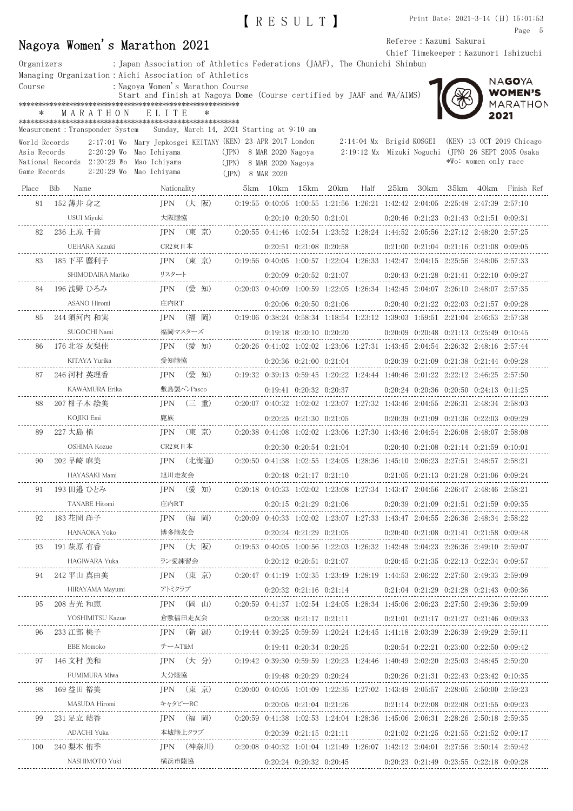|                                                                                                                         |                |               |                                                                                           |             |                                                                                           |  | IRESULTI                                                                                            |  |  |  |                          |  |                      | Print Date: $2021-3-14$ (日) $15:01:53$<br>Page 5       |  |
|-------------------------------------------------------------------------------------------------------------------------|----------------|---------------|-------------------------------------------------------------------------------------------|-------------|-------------------------------------------------------------------------------------------|--|-----------------------------------------------------------------------------------------------------|--|--|--|--------------------------|--|----------------------|--------------------------------------------------------|--|
|                                                                                                                         |                |               | Nagoya Women's Marathon 2021                                                              |             |                                                                                           |  |                                                                                                     |  |  |  | Referee : Kazumi Sakurai |  |                      |                                                        |  |
|                                                                                                                         |                |               |                                                                                           |             |                                                                                           |  |                                                                                                     |  |  |  |                          |  |                      | Chief Timekeeper: Kazunori Ishizuchi                   |  |
| Organizers                                                                                                              |                |               | : Japan Association of Athletics Federations (JAAF), The Chunichi Shimbun                 |             |                                                                                           |  |                                                                                                     |  |  |  |                          |  |                      |                                                        |  |
| Course                                                                                                                  |                |               | Managing Organization: Aichi Association of Athletics<br>: Nagoya Women's Marathon Course |             |                                                                                           |  |                                                                                                     |  |  |  |                          |  |                      | NAGOYA                                                 |  |
|                                                                                                                         |                |               | Start and finish at Nagoya Dome (Course certified by JAAF and WA/AIMS)                    |             |                                                                                           |  |                                                                                                     |  |  |  |                          |  |                      | <b>WOMEN'S</b>                                         |  |
|                                                                                                                         |                |               |                                                                                           |             |                                                                                           |  |                                                                                                     |  |  |  |                          |  |                      | MARATHON                                               |  |
| $\ast$                                                                                                                  |                | MARATHON      | ELITE                                                                                     | $\ast$      |                                                                                           |  |                                                                                                     |  |  |  |                          |  |                      | 2021                                                   |  |
|                                                                                                                         |                |               | Measurement: Transponder System Sunday, March 14, 2021 Starting at 9:10 am                |             |                                                                                           |  |                                                                                                     |  |  |  |                          |  |                      |                                                        |  |
| World Records                                                                                                           |                |               | 2:17:01 Wo Mary Jepkosgei KEITANY (KEN) 23 APR 2017 London                                |             |                                                                                           |  |                                                                                                     |  |  |  |                          |  |                      | 2:14:04 Mx Brigid KOSGEI (KEN) 13 OCT 2019 Chicago     |  |
| Asia Records                                                                                                            |                |               | $2:20:29$ Wo Mao Ichiyama<br>Mao Ichiyama                                                 |             | (JPN) 8 MAR 2020 Nagoya                                                                   |  |                                                                                                     |  |  |  |                          |  | *Wo: women only race | $2:19:12$ Mx Mizuki Noguchi (JPN) 26 SEPT 2005 Osaka   |  |
| National Records 2:20:29 Wo<br>(JPN) 8 MAR 2020 Nagoya<br>2:20:29 Wo Mao Ichiyama<br>Game Records<br>$(JPN)$ 8 MAR 2020 |                |               |                                                                                           |             |                                                                                           |  |                                                                                                     |  |  |  |                          |  |                      |                                                        |  |
|                                                                                                                         | Place Bib Name |               |                                                                                           | Nationality |                                                                                           |  |                                                                                                     |  |  |  |                          |  |                      | 5km 10km 15km 20km Half 25km 30km 35km 40km Finish Ref |  |
| 81                                                                                                                      | 152 薄井 身之      |               |                                                                                           |             | JPN (大阪) 0:19:55 0:40:05 1:00:55 1:21:56 1:26:21 1:42:42 2:04:05 2:25:48 2:47:39 2:57:10  |  |                                                                                                     |  |  |  |                          |  |                      |                                                        |  |
|                                                                                                                         |                | USUI Miyuki   | 大阪陸協                                                                                      |             |                                                                                           |  | $0:20:10$ $0:20:50$ $0:21:01$ $0:20:46$ $0:21:23$ $0:21:43$ $0:21:51$ $0:09:31$                     |  |  |  |                          |  |                      |                                                        |  |
| 82                                                                                                                      | 236 上原 千貴      |               |                                                                                           |             | JPN (東 京) 0:20:55 0:41:46 1:02:54 1:23:52 1:28:24 1:44:52 2:05:56 2:27:12 2:48:20 2:57:25 |  |                                                                                                     |  |  |  |                          |  |                      |                                                        |  |
|                                                                                                                         |                |               |                                                                                           |             |                                                                                           |  | $0:20:51$ $0:21:08$ $0:20:58$ $0:21:00$ $0:21:04$ $0:21:16$ $0:21:08$ $0:09:05$                     |  |  |  |                          |  |                      |                                                        |  |
| 83                                                                                                                      | 185 下平 麿利子     |               |                                                                                           | IPN (東 京)   |                                                                                           |  | $0.19:56$ $0.40:05$ $1:00:57$ $1.22:04$ $1.26:33$ $1.42:47$ $2.04:15$ $2.25:56$ $2.48:06$ $2.57:33$ |  |  |  |                          |  |                      |                                                        |  |
|                                                                                                                         |                |               |                                                                                           |             |                                                                                           |  | $0:20:09$ $0:20:52$ $0:21:07$ $0:20:43$ $0:21:28$ $0:21:41$ $0:22:10$ $0:09:27$                     |  |  |  |                          |  |                      |                                                        |  |
| 84                                                                                                                      | 196 浅野 ひろみ     |               |                                                                                           |             | JPN (愛 知) 0:20:03 0:40:09 1:00:59 1:22:05 1:26:34 1:42:45 2:04:07 2:26:10 2:48:07 2:57:35 |  |                                                                                                     |  |  |  |                          |  |                      |                                                        |  |
|                                                                                                                         |                | ASANO Hiromi  | 庄内RT                                                                                      |             |                                                                                           |  | $0:20:06$ $0:20:50$ $0:21:06$ $0:20:40$ $0:21:22$ $0:22:03$ $0:21:57$ $0:09:28$                     |  |  |  |                          |  |                      |                                                        |  |
| 85                                                                                                                      | 244 須河内 和実     |               |                                                                                           | IPN (福 岡)   |                                                                                           |  | 0:19:06 0:38:24 0:58:34 1:18:54 1:23:12 1:39:03 1:59:51 2:21:04 2:46:53 2:57:38                     |  |  |  |                          |  |                      |                                                        |  |
|                                                                                                                         |                | SUGOCHI Nami  |                                                                                           |             | 福岡マスターズ                                                                                   |  | $0:19:18$ $0:20:10$ $0:20:20$ $0:20:09$ $0:20:48$ $0:21:13$ $0:25:49$ $0:10:45$                     |  |  |  |                          |  |                      |                                                        |  |
| 86                                                                                                                      | 176 北谷 友梨佳     |               |                                                                                           | JPN (愛知)    | 0:20:26 0:41:02 1:02:02 1:23:06 1:27:31 1:43:45 2:04:54 2:26:32 2:48:16 2:57:44           |  |                                                                                                     |  |  |  |                          |  |                      |                                                        |  |
|                                                                                                                         |                | KITAYA Yurika | 愛知陸協                                                                                      |             |                                                                                           |  | $0:20:36$ $0:21:00$ $0:21:04$ $0:20:39$ $0:21:09$ $0:21:38$ $0:21:44$ $0:09:28$                     |  |  |  |                          |  |                      |                                                        |  |
| 87                                                                                                                      | 246 河村 英理香     |               |                                                                                           | JPN (愛 知)   |                                                                                           |  | $0:19:32$ $0:39:13$ $0:59:45$ $1:20:22$ $1:24:44$ $1:40:46$ $2:01:22$ $2:22:12$ $2:46:25$ $2:57:50$ |  |  |  |                          |  |                      |                                                        |  |

KAWAMURA Erika 敷島製パンPasco 0:19:41 0:20:32 0:20:37 0:20:24 0:20:36 0:20:50 0:24:13 0:11:25

<u>-------</u>

| 88 | 207 柑子木 絵美           | <b>IPN</b> | (三 重)     |  |                               |  |  | $0:20:07$ $0:40:32$ $1:02:02$ $1:23:07$ $1:27:32$ $1:43:46$ $2:04:55$ $2:26:31$ $2:48:34$ $2:58:03$ |  |
|----|----------------------|------------|-----------|--|-------------------------------|--|--|-----------------------------------------------------------------------------------------------------|--|
|    | KOJIKI Emi           | 鹿族         |           |  | $0:20:25$ $0:21:30$ $0:21:05$ |  |  | $0:20:39$ $0:21:09$ $0:21:36$ $0:22:03$ $0:09:29$                                                   |  |
| 89 | 227 大島 梢             |            | IPN (東京)  |  |                               |  |  | $0.20:38$ $0.41:08$ $1.02:02$ $1.23:06$ $1.27:30$ $1.43:46$ $2.04:54$ $2.26:08$ $2.48:07$ $2.58:08$ |  |
|    | OSHIMA Kozue         | CR2東日本     |           |  | $0:20:30$ $0:20:54$ $0:21:04$ |  |  | $0:20:40$ $0:21:08$ $0:21:14$ $0:21:59$ $0:10:01$                                                   |  |
| 90 | 202 早崎 麻美            |            | IPN (北海道) |  |                               |  |  | $0.20:50$ $0.41:38$ $1:02:55$ $1:24:05$ $1:28:36$ $1:45:10$ $2:06:23$ $2:27:51$ $2:48:57$ $2:58:21$ |  |
|    | HAYASAKI Mami        | 旭川走友会      |           |  | $0:20:48$ $0:21:17$ $0:21:10$ |  |  | $0:21:05$ $0:21:13$ $0:21:28$ $0:21:06$ $0:09:24$                                                   |  |
| 91 | 193 田邉 ひとみ           |            | IPN (愛 知) |  |                               |  |  | $0.20:18$ $0.40:33$ $1.02:02$ $1.23:08$ $1.27:34$ $1.43:47$ $2.04:56$ $2.26:47$ $2.48:46$ $2.58:21$ |  |
|    | <b>TANABE Hitomi</b> | 庄内RT       |           |  | $0:20:15$ $0:21:29$ $0:21:06$ |  |  | $0:20:39$ $0:21:09$ $0:21:51$ $0:21:59$ $0:09:35$                                                   |  |
| 92 | 183 花岡 洋子            | IPN        | (福<br>岡)  |  |                               |  |  | $0:20:09$ $0:40:33$ $1:02:02$ $1:23:07$ $1:27:33$ $1:43:47$ $2:04:55$ $2:26:36$ $2:48:34$ $2:58:22$ |  |
|    | HANAOKA Yoko         | 博多陸友会      |           |  | $0:20:24$ $0:21:29$ $0:21:05$ |  |  | $0:20:40$ $0:21:08$ $0:21:41$ $0:21:58$ $0:09:48$                                                   |  |
| 93 | 191 萩原 有香            | <b>IPN</b> | 阪)<br>(大  |  |                               |  |  | $0:19:53$ $0:40:05$ $1:00:56$ $1:22:03$ $1:26:32$ $1:42:48$ $2:04:23$ $2:26:36$ $2:49:10$ $2:59:07$ |  |
|    | HAGIWARA Yuka        | ラン愛練習会     |           |  | $0:20:12$ $0:20:51$ $0:21:07$ |  |  | $0:20:45$ $0:21:35$ $0:22:13$ $0:22:34$ $0:09:57$                                                   |  |
| 94 | 242 平山 真由美           |            | IPN (東京)  |  |                               |  |  | $0.20:47$ $0.41:19$ $1.02:35$ $1.23:49$ $1.28:19$ $1.44:53$ $2.06:22$ $2.27:50$ $2.49:33$ $2.59:09$ |  |
|    | HIRAYAMA Mayumi      | アトミクラブ     |           |  | $0:20:32$ $0:21:16$ $0:21:14$ |  |  | $0:21:04$ $0:21:29$ $0:21:28$ $0:21:43$ $0:09:36$                                                   |  |
|    |                      |            |           |  |                               |  |  |                                                                                                     |  |

----------------

| 94  | 242 平山 真由美       | <b>IPN</b> | (東 京)     |  | $0.20.47$ $0.41.19$ $1.02.35$ $1.23.49$ $1.28.19$ $1.44.53$ $2.06.22$ $2.27.50$ $2.49.33$ $2.59.09$ |  |  |                                                   |  |
|-----|------------------|------------|-----------|--|-----------------------------------------------------------------------------------------------------|--|--|---------------------------------------------------|--|
|     | HIRAYAMA Mayumi  | アトミクラブ     |           |  | $0:20:32$ $0:21:16$ $0:21:14$                                                                       |  |  | $0:21:04$ $0:21:29$ $0:21:28$ $0:21:43$ $0:09:36$ |  |
| 95  | 208 吉光 和恵        | <b>IPN</b> | (岡山)      |  | $0.20:59$ $0.41:37$ $1.02:54$ $1.24:05$ $1.28:34$ $1.45:06$ $2.06:23$ $2.27:50$ $2.49:36$ $2.59:09$ |  |  |                                                   |  |
|     | YOSHIMITSU Kazue |            | 倉敷福田走友会   |  | $0:20:38$ $0:21:17$ $0:21:11$                                                                       |  |  | $0:21:01$ $0:21:17$ $0:21:27$ $0:21:46$ $0:09:33$ |  |
| 96  | 233 江部 桃子        | <b>IPN</b> | (新 潟)     |  | $0:19:44$ $0:39:25$ $0:59:59$ $1:20:24$ $1:24:45$ $1:41:18$ $2:03:39$ $2:26:39$ $2:49:29$ $2:59:11$ |  |  |                                                   |  |
|     | EBE Momoko       | チームT&M     |           |  | $0:19:41$ $0:20:34$ $0:20:25$                                                                       |  |  | $0:20.54$ $0:22.21$ $0:23.00$ $0:22.50$ $0.09.42$ |  |
| 97  | 146 文村 美和        |            | IPN (大分)  |  | $0:19:42$ $0:39:30$ $0:59:59$ $1:20:23$ $1:24:46$ $1:40:49$ $2:02:20$ $2:25:03$ $2:48:45$ $2:59:20$ |  |  |                                                   |  |
|     | FUMIMURA Miwa    | 大分陸協       |           |  | $0:19:48$ $0:20:29$ $0:20:24$                                                                       |  |  | $0:20:26$ $0:21:31$ $0:22:43$ $0:23:42$ $0:10:35$ |  |
| 98  | 169 益田 裕美        |            | IPN (東京)  |  | $0:20:00$ $0:40:05$ $1:01:09$ $1:22:35$ $1:27:02$ $1:43:49$ $2:05:57$ $2:28:05$ $2:50:00$ $2:59:23$ |  |  |                                                   |  |
|     | MASUDA Hiromi    | キャタピーRC    |           |  | $0:20:05$ $0:21:04$ $0:21:26$                                                                       |  |  | $0:21:14$ $0:22:08$ $0:22:08$ $0:21:55$ $0:09:23$ |  |
| 99  | 231 足立 結香        | <b>IPN</b> | (福 岡)     |  | $0.20:59$ $0.41:38$ $1.02:53$ $1.24:04$ $1.28:36$ $1.45:06$ $2.06:31$ $2.28:26$ $2.50:18$ $2.59:35$ |  |  |                                                   |  |
|     | ADACHI Yuka      |            | 本城陸上クラブ   |  | $0:20:39$ $0:21:15$ $0:21:11$                                                                       |  |  | $0.21:02$ $0.21:25$ $0.21:55$ $0.21:52$ $0.09:17$ |  |
| 100 | 240 梨本 侑季        |            | IPN (神奈川) |  | $0:20:08$ $0:40:32$ $1:01:04$ $1:21:49$ $1:26:07$ $1:42:12$ $2:04:01$ $2:27:56$ $2:50:14$ $2:59:42$ |  |  |                                                   |  |
|     | NASHIMOTO Yuki   | 横浜市陸協      |           |  | $0:20:24$ $0:20:32$ $0:20:45$                                                                       |  |  | $0:20:23$ $0:21:49$ $0:23:55$ $0:22:18$ $0:09:28$ |  |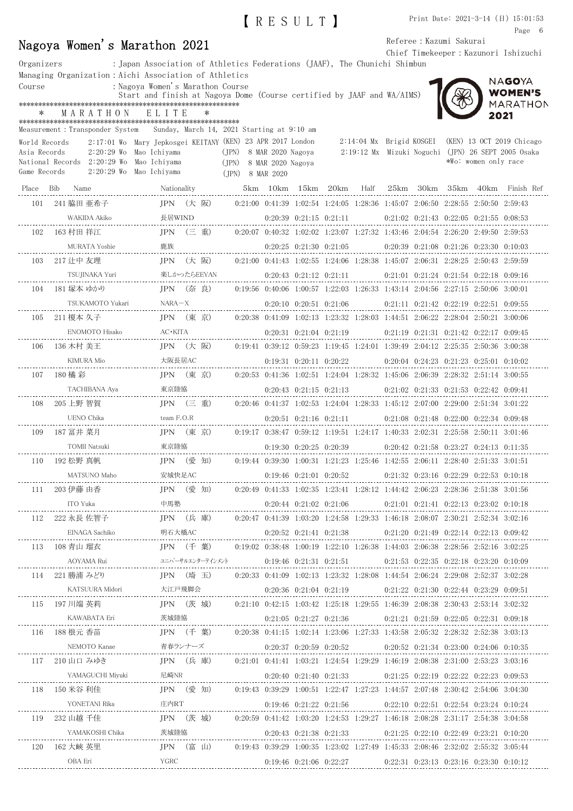|             | Nagoya Women's Marathon 2021                              |                                                                                                                                                                                                                                                                                                                                                              |                         |                                                                                                                                     | RESULT ]                                                                        |  |  | Referee : Kazumi Sakurai |                      | Print Date: 2021-3-14 (日) 15:01:53<br>Page 6<br>Chief Timekeeper: Kazunori Ishizuchi                     |
|-------------|-----------------------------------------------------------|--------------------------------------------------------------------------------------------------------------------------------------------------------------------------------------------------------------------------------------------------------------------------------------------------------------------------------------------------------------|-------------------------|-------------------------------------------------------------------------------------------------------------------------------------|---------------------------------------------------------------------------------|--|--|--------------------------|----------------------|----------------------------------------------------------------------------------------------------------|
| Course<br>∗ | MARATHON                                                  | Organizers : Japan Association of Athletics Federations (JAAF), The Chunichi Shimbun<br>Managing Organization: Aichi Association of Athletics<br>: Nagoya Women's Marathon Course<br>Start and finish at Nagoya Dome (Course certified by JAAF and WA/AIMS)<br>ELITE<br>$\ast$<br>Measurement: Transponder System Sunday, March 14, 2021 Starting at 9:10 am |                         |                                                                                                                                     |                                                                                 |  |  |                          | 2021                 | NAGOYA<br><b>WOMEN'S</b><br>MARATHON                                                                     |
|             | World Records<br>National Records 2:20:29 Wo Mao Ichiyama | 2:17:01 Wo Mary Jepkosgei KEITANY (KEN) 23 APR 2017 London<br>Asia Records 2:20:29 Wo Mao Ichiyama (JPN) 8 MAR 2020 Nagoya<br>Game Records 2:20:29 Wo Mao Ichiyama (JPN) 8 MAR 2020                                                                                                                                                                          | (JPN) 8 MAR 2020 Nagoya |                                                                                                                                     |                                                                                 |  |  |                          | *Wo: women only race | 2:14:04 Mx Brigid KOSGEI (KEN) 13 OCT 2019 Chicago<br>2:19:12 Mx Mizuki Noguchi (JPN) 26 SEPT 2005 Osaka |
|             |                                                           | Place Bib Name Nationality 5km 10km 15km 20km Half 25km 30km 35km 40km Finish Ref                                                                                                                                                                                                                                                                            |                         |                                                                                                                                     |                                                                                 |  |  |                          |                      |                                                                                                          |
|             | 101   241 脇田 亜希子                                          | JPN (大阪) 0:21:00 0:41:39 1:02:54 1:24:05 1:28:36 1:45:07 2:06:50 2:28:55 2:50:50 2:59:43                                                                                                                                                                                                                                                                     |                         |                                                                                                                                     |                                                                                 |  |  |                          |                      |                                                                                                          |
|             |                                                           |                                                                                                                                                                                                                                                                                                                                                              |                         |                                                                                                                                     |                                                                                 |  |  |                          |                      |                                                                                                          |
|             | 102 163 村田 祥江                                             | JPN (三 重) 0:20:07 0:40:32 1:02:02 1:23:07 1:27:32 1:43:46 2:04:54 2:26:20 2:49:50 2:59:53                                                                                                                                                                                                                                                                    |                         |                                                                                                                                     |                                                                                 |  |  |                          |                      |                                                                                                          |
|             |                                                           |                                                                                                                                                                                                                                                                                                                                                              |                         |                                                                                                                                     | $0:20:25$ $0:21:30$ $0:21:05$ $0:20:39$ $0:21:08$ $0:21:26$ $0:23:30$ $0:10:03$ |  |  |                          |                      |                                                                                                          |
|             |                                                           | 103 217 辻中 友理         JPN (大 阪)   0:21:00 0:41:43 1:02:55 1:24:06 1:28:38 1:45:07 2:06:31 2:28:25 2:50:43 2:59:59                                                                                                                                                                                                                                            |                         |                                                                                                                                     |                                                                                 |  |  |                          |                      |                                                                                                          |
|             |                                                           | TSUJINAKA Yuri     楽しかったらEEYAN        0:20:43 0:21:12 0:21:11      0:21:01 0:21:24 0:21:54 0:22:18 0:09:16                                                                                                                                                                                                                                                   |                         |                                                                                                                                     |                                                                                 |  |  |                          |                      |                                                                                                          |
|             |                                                           | 104 181 塚本 ゆかり JPN (奈良) 0:19:56 0:40:06 1:00:57 1:22:03 1:26:33 1:43:14 2:04:56 2:27:15 2:50:06 3:00:01                                                                                                                                                                                                                                                      |                         |                                                                                                                                     |                                                                                 |  |  |                          |                      |                                                                                                          |
|             |                                                           |                                                                                                                                                                                                                                                                                                                                                              |                         |                                                                                                                                     |                                                                                 |  |  |                          |                      |                                                                                                          |
|             | 105 211 榎本 久子                                             | JPN (東 京) 0:20:38 0:41:09 1:02:13 1:23:32 1:28:03 1:44:51 2:06:22 2:28:04 2:50:21 3:00:06                                                                                                                                                                                                                                                                    |                         |                                                                                                                                     |                                                                                 |  |  |                          |                      |                                                                                                          |
|             |                                                           |                                                                                                                                                                                                                                                                                                                                                              |                         | $\begin{array}{cccccccc} 0:20:31 & 0:21:04 & 0:21:19 & & & & 0:21:19 & 0:21:31 & 0:21:42 & 0:22:17 & 0:09:45 \\ \hline \end{array}$ |                                                                                 |  |  |                          |                      |                                                                                                          |
|             |                                                           | the second contract of the second contract of the second second second second second second second second second second second second second second second second second second second second second second second second seco                                                                                                                               |                         |                                                                                                                                     |                                                                                 |  |  |                          |                      |                                                                                                          |

|     | 100 411 夜坐 八丁                                  |         | コエコマー マホー ガン                                                                                                         | 0.00.00 0.11.00 1.02.10 1.20.02 1.20.00 1.11.01 2.00.22 2.20.01 2.00.21 0.00.02 |                               |                               |                               |  |                                                                                                     |  |  |
|-----|------------------------------------------------|---------|----------------------------------------------------------------------------------------------------------------------|---------------------------------------------------------------------------------|-------------------------------|-------------------------------|-------------------------------|--|-----------------------------------------------------------------------------------------------------|--|--|
|     | ENOMOTO Hisako<br>(0<br>.--------------        | AC∙KITA |                                                                                                                      |                                                                                 |                               |                               | $0:20:31$ $0:21:04$ $0:21:19$ |  | $0:21:19$ $0:21:31$ $0:21:42$ $0:22:17$ $0:09:45$                                                   |  |  |
| 106 | 136 木村 美王                                      |         | JPN (大阪) 0:19:41 0:39:12 0:59:23 1:19:45 1:24:01 1:39:49 2:04:12 2:25:35 2:50:36 3:00:38                             |                                                                                 |                               |                               |                               |  |                                                                                                     |  |  |
|     | KIMURA Mio<br>______________________           |         | 大阪長居AC                                                                                                               |                                                                                 | 0:19:31 0:20:11 0:20:22       |                               |                               |  | $0:20:04$ $0:24:23$ $0:21:23$ $0:25:01$ $0:10:02$                                                   |  |  |
| 107 | 180 橘 彩                                        |         | JPN (東 京)                                                                                                            |                                                                                 |                               |                               |                               |  | $0:20:53$ $0:41:36$ $1:02:51$ $1:24:04$ $1:28:32$ $1:45:06$ $2:06:39$ $2:28:32$ $2:51:14$ $3:00:55$ |  |  |
|     | TACHIBANA Aya                                  | 東京陸協    |                                                                                                                      |                                                                                 |                               | $0:20:43$ $0:21:15$ $0:21:13$ |                               |  | $0:21:02$ $0:21:33$ $0:21:53$ $0:22:42$ $0:09:41$                                                   |  |  |
| 108 | 205 上野 智賀                                      |         | JPN (三 重)   0:20:46 0:41:37 1:02:53 1:24:04 1:28:33 1:45:12 2:07:00 2:29:00 2:51:34 3:01:22                          |                                                                                 |                               |                               |                               |  |                                                                                                     |  |  |
|     | UENO Chika<br>-------------------------------- |         | team F.O.R $0:20:51$ $0:21:16$ $0:21:11$                                                                             |                                                                                 |                               |                               |                               |  | 0:21:08 0:21:48 0:22:00 0:22:34 0:09:48                                                             |  |  |
| 109 | 187 冨井 菜月                                      |         | IPN (東 京)                                                                                                            |                                                                                 |                               |                               |                               |  | $0.19:17$ $0.38:47$ $0.59:12$ $1.19:51$ $1.24:17$ $1.40:33$ $2.02:31$ $2.25:58$ $2.50:11$ $3.01:46$ |  |  |
|     | TOMII Natsuki                                  | 東京陸協    |                                                                                                                      |                                                                                 |                               | $0:19:30$ $0:20:25$ $0:20:39$ |                               |  | $0:20:42$ $0:21:58$ $0:23:27$ $0:24:13$ $0:11:35$                                                   |  |  |
| 110 | 192 松野 真帆                                      |         | JPN (愛 知)   0.19:44 0.39:30 1.00:31 1.21:23 1.25:46 1.42:55 2.06:11 2.28:40 2.51:33 3.01:51                          |                                                                                 |                               |                               |                               |  |                                                                                                     |  |  |
|     | MATSUNO Maho<br>-<br>---------------           | 安城快足AC  |                                                                                                                      |                                                                                 | $0:19:46$ $0:21:01$ $0:20:52$ |                               |                               |  | 0:21:32 0:23:16 0:22:29 0:22:53 0:10:18                                                             |  |  |
| 111 | 203 伊藤 由香                                      |         | JPN (愛 知)                                                                                                            | 0:20:49 0:41:33 1:02:35 1:23:41 1:28:12 1:44:42 2:06:23 2:28:36 2:51:38 3:01:56 |                               |                               |                               |  |                                                                                                     |  |  |
|     | ITO Yuka<br>------------------------           | 中馬塾     | $0:20:44 \quad 0:21:02 \quad 0:21:06 \quad 0:21:01 \quad 0:21:41 \quad 0:22:13 \quad 0:23:02 \quad 0:10:18$          |                                                                                 |                               |                               |                               |  |                                                                                                     |  |  |
| 112 | 222 永長 佐智子                                     |         | JPN (兵 庫)                                                                                                            |                                                                                 |                               |                               |                               |  | $0.20:47$ $0.41:39$ $1.03:20$ $1.24:58$ $1.29:33$ $1.46:18$ $2.08:07$ $2.30:21$ $2.52:34$ $3.02:16$ |  |  |
|     | EINAGA Sachiko                                 |         | 明石大橋AC<br>-------------------------------                                                                            |                                                                                 |                               | $0:20:52$ $0:21:41$ $0:21:38$ |                               |  | $0.21:20$ $0.21:49$ $0.22:14$ $0.22:13$ $0.09:42$                                                   |  |  |
| 113 | 108 青山 瑠衣                                      |         | $IPN$ $($ $+$ 葉)                                                                                                     |                                                                                 |                               |                               |                               |  | $0.19.02$ $0.38.48$ $1.00.19$ $1.22.10$ $1.26.38$ $1.44.03$ $2.06.38$ $2.28.56$ $2.52.16$ $3.02.25$ |  |  |
|     | AOYAMA Rui                                     |         | $22.151$ $22.25$ $0.23.20$ $0.10.09$ $0.19.46$ $0.21.31$ $0.21.51$ $0.21.53$ $0.22.35$ $0.22.18$ $0.23.20$ $0.10.09$ |                                                                                 |                               |                               |                               |  |                                                                                                     |  |  |
| 114 | 221 勝浦 みどり                                     |         | IPN (埼 玉)                                                                                                            |                                                                                 |                               |                               |                               |  | $0.20.33$ $0.41.09$ $1.02.13$ $1.23.32$ $1.28.08$ $1.44.54$ $2.06.24$ $2.29.08$ $2.52.37$ $3.02.28$ |  |  |
|     | KATSUURA Midori                                |         | 大江戸飛脚会                                                                                                               |                                                                                 |                               | 0:20:36 0:21:04 0:21:19       |                               |  | $0.21:22$ $0.21:30$ $0.22:44$ $0.23:29$ $0.09:51$                                                   |  |  |
| 115 | 197 川端 英莉                                      |         | JPN (茨城) 0:21:10 0:42:15 1:03:42 1:25:18 1:29:55 1:46:39 2:08:38 2:30:43 2:53:14 3:02:32                             |                                                                                 |                               |                               |                               |  |                                                                                                     |  |  |
|     | KAWABATA Eri                                   | 茨城陸協    |                                                                                                                      |                                                                                 |                               |                               | $0:21:05$ $0:21:27$ $0:21:36$ |  | $0:21:21$ $0:21:59$ $0:22:05$ $0:22:31$ $0:09:18$                                                   |  |  |
| 116 | 188 根元 香苗                                      |         | JPN (千 葉) 0:20:38 0:41:15 1:02:14 1:23:06 1:27:33 1:43:58 2:05:32 2:28:32 2:52:38 3:03:13                            |                                                                                 |                               |                               |                               |  |                                                                                                     |  |  |
|     | NEMOTO Kanae                                   |         | 青春ランナーズ                                                                                                              |                                                                                 |                               |                               | $0:20:37$ $0:20:59$ $0:20:52$ |  | $0.20.52$ $0.21.34$ $0.23.00$ $0.24.06$ $0.10.35$                                                   |  |  |
| 117 | 210 山口 みゆき                                     |         | JPN (兵 庫)                                                                                                            |                                                                                 |                               |                               |                               |  | $0.21:01$ $0.41:41$ $1.03:21$ $1.24:54$ $1.29:29$ $1.46:19$ $2.08:38$ $2.31:00$ $2.53:23$ $3.03:16$ |  |  |
|     | YAMAGUCHI Miyuki                               | 尼崎NR    |                                                                                                                      |                                                                                 |                               | $0:20:40$ $0:21:40$ $0:21:33$ |                               |  | $0.21.25$ $0.22.19$ $0.22.22$ $0.22.23$ $0.09.53$                                                   |  |  |
| 118 | 150 米谷 利佳                                      |         | JPN (愛 知)                                                                                                            |                                                                                 |                               |                               |                               |  | $0.19:43$ $0.39:29$ $1.00:51$ $1.22:47$ $1.27:23$ $1.44:57$ $2.07:48$ $2.30:42$ $2.54:06$ $3.04:30$ |  |  |
|     | YONETANI Rika                                  |         | 庄内RT                                                                                                                 |                                                                                 | 0:19:46 0:21:22 0:21:56       |                               |                               |  | $0.22:10$ $0.22:51$ $0.22:54$ $0.23:24$ $0.10:24$                                                   |  |  |
| 119 | 232 山越 千佳                                      |         | JPN (茨城) 0:20:59 0:41:42 1:03:20 1:24:53 1:29:27 1:46:18 2:08:28 2:31:17 2:54:38 3:04:58                             |                                                                                 |                               |                               |                               |  |                                                                                                     |  |  |
|     | YAMAKOSHI Chika                                | 茨城陸協    |                                                                                                                      |                                                                                 |                               | $0:20:43$ $0:21:38$ $0:21:33$ |                               |  | $0:21:25$ $0:22:10$ $0:22:49$ $0:23:21$ $0:10:20$                                                   |  |  |
| 120 | 162 大峽 英里                                      |         | JPN (富山)                                                                                                             |                                                                                 |                               |                               |                               |  | $0.19:43$ $0.39:29$ $1.00:35$ $1.23:02$ $1.27:49$ $1.45:33$ $2.08:46$ $2.32:02$ $2.55:32$ $3.05:44$ |  |  |
|     | OBA Eri                                        | YGRC    |                                                                                                                      |                                                                                 |                               | $0:19:46$ $0:21:06$ $0:22:27$ |                               |  | 0:22:31 0:23:13 0:23:16 0:23:30 0:10:12                                                             |  |  |
|     |                                                |         |                                                                                                                      |                                                                                 |                               |                               |                               |  |                                                                                                     |  |  |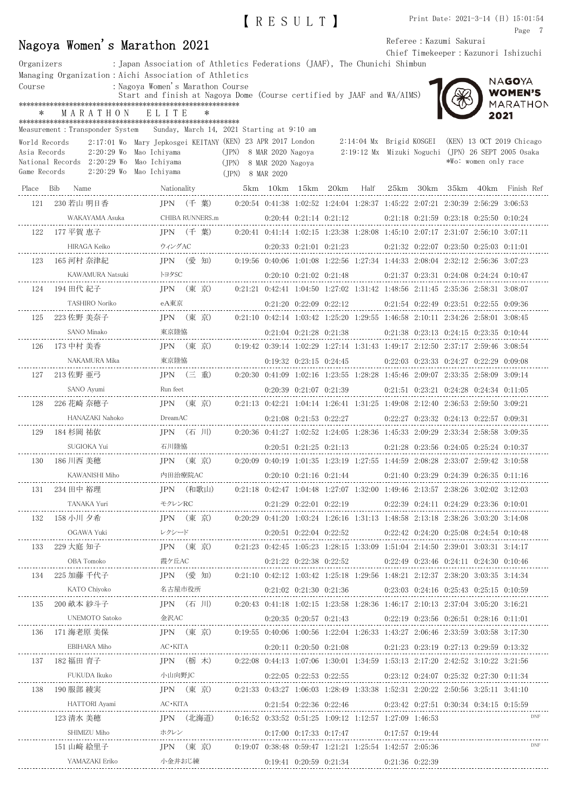| Referee : Kazumi Sakurai<br>Nagoya Women's Marathon 2021<br>Chief Timekeeper: Kazunori Ishizuchi |  |                                                       |              |                         |                                  |                                     |  |   |       |  |                    |                                                                                                     |                          |                                                   |                      |                                                    |
|--------------------------------------------------------------------------------------------------|--|-------------------------------------------------------|--------------|-------------------------|----------------------------------|-------------------------------------|--|---|-------|--|--------------------|-----------------------------------------------------------------------------------------------------|--------------------------|---------------------------------------------------|----------------------|----------------------------------------------------|
| Organizers                                                                                       |  |                                                       |              |                         |                                  |                                     |  |   |       |  |                    | : Japan Association of Athletics Federations (JAAF), The Chunichi Shimbun                           |                          |                                                   |                      |                                                    |
|                                                                                                  |  | Managing Organization: Aichi Association of Athletics |              |                         |                                  |                                     |  |   |       |  |                    |                                                                                                     |                          |                                                   |                      | NAGOYA                                             |
| Course                                                                                           |  |                                                       |              |                         | : Nagoya Women's Marathon Course |                                     |  |   |       |  |                    | Start and finish at Nagoya Dome (Course certified by JAAF and WA/AIMS)                              |                          |                                                   |                      | <b>WOMEN'S</b>                                     |
|                                                                                                  |  |                                                       |              |                         |                                  |                                     |  |   |       |  |                    |                                                                                                     |                          |                                                   |                      | MARATHON                                           |
| ∗                                                                                                |  | MARATHON                                              |              |                         | ELITE                            |                                     |  | ∗ |       |  |                    |                                                                                                     |                          |                                                   |                      | 2021                                               |
|                                                                                                  |  | Measurement : Transponder System                      |              |                         |                                  |                                     |  |   |       |  |                    | Sunday, March 14, 2021 Starting at 9:10 am                                                          |                          |                                                   |                      |                                                    |
| World Records                                                                                    |  |                                                       |              |                         |                                  |                                     |  |   |       |  |                    | 2:17:01 Wo Mary Jepkosgei KEITANY (KEN) 23 APR 2017 London                                          | 2:14:04 Mx Brigid KOSGEI |                                                   |                      | (KEN) 13 OCT 2019 Chicago                          |
| Asia Records                                                                                     |  | National Records 2:20:29 Wo                           | $2:20:29$ Wo |                         | Mao Ichiyama<br>Mao Ichiyama     |                                     |  |   | (JPN) |  |                    | 8 MAR 2020 Nagoya<br>(JPN) 8 MAR 2020 Nagoya                                                        |                          |                                                   | *Wo: women only race | 2:19:12 Mx Mizuki Noguchi (JPN) 26 SEPT 2005 Osaka |
| Game Records                                                                                     |  |                                                       |              |                         | 2:20:29 Wo Mao Ichiyama          |                                     |  |   |       |  | $(JPN)$ 8 MAR 2020 |                                                                                                     |                          |                                                   |                      |                                                    |
|                                                                                                  |  | Place Bib Name                                        |              |                         |                                  | Nationality                         |  |   |       |  |                    | 5km 10km 15km 20km Half                                                                             |                          |                                                   |                      | 25km 30km 35km 40km Finish Ref                     |
| 121                                                                                              |  | 230 若山 明日香                                            |              |                         |                                  | JPN (千 葉)                           |  |   |       |  |                    | $0:20:54$ $0:41:38$ $1:02:52$ $1:24:04$ $1:28:37$ $1:45:22$ $2:07:21$ $2:30:39$ $2:56:29$ $3:06:53$ |                          |                                                   |                      |                                                    |
|                                                                                                  |  | WAKAYAMA Asuka                                        |              |                         |                                  | CHIBA RUNNERS.m                     |  |   |       |  |                    | $0:20:44$ $0:21:14$ $0:21:12$ $0:21:18$ $0:21:59$ $0:23:18$ $0:25:50$ $0:10:24$                     |                          |                                                   |                      |                                                    |
| 122                                                                                              |  | 177 平賀 恵子                                             |              |                         |                                  | JPN (千 葉)                           |  |   |       |  |                    | $0:20:41$ $0:41:14$ $1:02:15$ $1:23:38$ $1:28:08$ $1:45:10$ $2:07:17$ $2:31:07$ $2:56:10$ $3:07:11$ |                          |                                                   |                      |                                                    |
|                                                                                                  |  | HIRAGA Keiko                                          |              |                         |                                  | ウィングAC                              |  |   |       |  |                    | 0:20:33 0:21:01 0:21:23                                                                             |                          | $0:21:32$ $0:22:07$ $0:23:50$ $0:25:03$ $0:11:01$ |                      |                                                    |
| 123                                                                                              |  | 165 河村 奈津紀                                            |              |                         |                                  | JPN (愛 知)                           |  |   |       |  |                    | $0.19:56$ $0.40:06$ $1.01:08$ $1.22:56$ $1.27:34$ $1.44:33$ $2.08:04$ $2.32:12$ $2.56:36$ $3:07:23$ |                          |                                                   |                      |                                                    |
|                                                                                                  |  | KAWAMURA Natsuki                                      |              |                         |                                  | トヨタSC                               |  |   |       |  |                    | $0:20:10$ $0:21:02$ $0:21:48$ $0:21:37$ $0:23:31$ $0:24:08$ $0:24:24$ $0:10:47$                     |                          |                                                   |                      |                                                    |
| 124                                                                                              |  | 194 田代 紀子                                             |              |                         |                                  | IPN (東京)                            |  |   |       |  |                    | $0:21:21$ $0:42:41$ $1:04:50$ $1:27:02$ $1:31:42$ $1:48:56$ $2:11:45$ $2:35:36$ $2:58:31$ $3:08:07$ |                          |                                                   |                      |                                                    |
|                                                                                                  |  | TASHIRO Noriko                                        |              | .                       |                                  | eA東京                                |  |   |       |  |                    | 0:21:20 0:22:09 0:22:12                                                                             |                          | $0:21:54$ $0:22:49$ $0:23:51$ $0:22:55$ $0:09:36$ |                      |                                                    |
| 125                                                                                              |  | 223 佐野 美奈子                                            |              |                         |                                  | JPN (東 京)                           |  |   |       |  |                    | $0:21:10$ $0:42:14$ $1:03:42$ $1:25:20$ $1:29:55$ $1:46:58$ $2:10:11$ $2:34:26$ $2:58:01$ $3:08:45$ |                          |                                                   |                      |                                                    |
|                                                                                                  |  | SANO Minako                                           |              |                         |                                  | 東京陸協                                |  |   |       |  |                    | $0:21:04$ $0:21:28$ $0:21:38$                                                                       |                          | $0.21:38$ $0.23:13$ $0.24:15$ $0.23:35$ $0.10:44$ |                      |                                                    |
| 126                                                                                              |  | 173 中村 美香                                             |              |                         |                                  | JPN (東 京)                           |  |   |       |  |                    | $0.19:42$ $0.39:14$ $1.02:29$ $1.27:14$ $1.31:43$ $1.49:17$ $2.12:50$ $2.37:17$ $2.59:46$ $3.08:54$ |                          |                                                   |                      |                                                    |
|                                                                                                  |  | NAKAMURA Mika<br>------------------------------       |              |                         |                                  | 東京陸協                                |  |   |       |  |                    | $0:19:32$ $0:23:15$ $0:24:45$                                                                       |                          | $0.22.03$ $0.23.33$ $0.24.27$ $0.22.29$ $0.09.08$ |                      |                                                    |
| 127                                                                                              |  | 213 佐野 亜弓                                             |              |                         |                                  | $JPN$ $(\equiv$ $\bar{\mathbb{E}})$ |  |   |       |  |                    | $0:20:30$ $0:41:09$ $1:02:16$ $1:23:55$ $1:28:28$ $1:45:46$ $2:09:07$ $2:33:35$ $2:58:09$ $3:09:14$ |                          |                                                   |                      |                                                    |
|                                                                                                  |  | SANO Ayumi                                            |              |                         |                                  | Run feet                            |  |   |       |  |                    | 0:20:39 0:21:07 0:21:39                                                                             |                          | $0:21:51$ $0:23:21$ $0:24:28$ $0:24:34$ $0:11:05$ |                      |                                                    |
| 128                                                                                              |  | 226 花崎 奈穂子                                            |              |                         |                                  | $IPN$ (東京)                          |  |   |       |  |                    | $0:21:13$ $0:42:21$ $1:04:14$ $1:26:41$ $1:31:25$ $1:49:08$ $2:12:40$ $2:36:53$ $2:59:50$ $3:09:21$ |                          |                                                   |                      |                                                    |
|                                                                                                  |  | HANAZAKI Nahoko                                       |              |                         |                                  | DreamAC                             |  |   |       |  |                    | $0:21:08$ $0:21:53$ $0:22:27$                                                                       |                          | 0:22:27 0:23:32 0:24:13 0:22:57 0:09:31           |                      |                                                    |
| 129                                                                                              |  | 184 杉岡 祐依                                             |              |                         |                                  | JPN (石 川)                           |  |   |       |  |                    | $0.20:36$ $0.41:27$ $1.02:52$ $1.24:05$ $1.28:36$ $1.45:33$ $2.09:29$ $2:33:34$ $2:58:58$ $3:09:35$ |                          |                                                   |                      |                                                    |
|                                                                                                  |  | SUGIOKA Yui                                           |              |                         |                                  | 石川陸協                                |  |   |       |  |                    | $0:20:51$ $0:21:25$ $0:21:13$                                                                       |                          | $0.21:28$ $0.23:56$ $0.24:05$ $0.25:24$ $0.10:37$ |                      |                                                    |
| 130                                                                                              |  | 186 川西 美穂                                             |              |                         |                                  | IPN (東京)                            |  |   |       |  |                    | $0:20:09$ $0:40:19$ $1:01:35$ $1:23:19$ $1:27:55$ $1:44:59$ $2:08:28$ $2:33:07$ $2:59:42$ $3:10:58$ |                          |                                                   |                      |                                                    |
|                                                                                                  |  | KAWANISHI Miho                                        |              |                         |                                  |                                     |  |   |       |  |                    |                                                                                                     |                          |                                                   |                      |                                                    |
|                                                                                                  |  | 131  234 田中 裕理                                        |              |                         |                                  |                                     |  |   |       |  |                    | JPN (和歌山) 0:21:18 0:42:47 1:04:48 1:27:07 1:32:00 1:49:46 2:13:57 2:38:26 3:02:02 3:12:03           |                          |                                                   |                      |                                                    |
|                                                                                                  |  |                                                       |              |                         |                                  |                                     |  |   |       |  |                    | TANAKA Yuri モクレンRC 0:21:29 0:22:01 0:22:19 0:22:39 0:24:11 0:24:29 0:23:36 0:10:01                  |                          |                                                   |                      |                                                    |
| 132                                                                                              |  | 158 小川 夕希                                             |              |                         |                                  |                                     |  |   |       |  |                    | JPN (東 京) 0:20:29 0:41:20 1:03:24 1:26:16 1:31:13 1:48:58 2:13:18 2:38:26 3:03:20 3:14:08           |                          |                                                   |                      |                                                    |
|                                                                                                  |  |                                                       |              |                         |                                  |                                     |  |   |       |  |                    | $0.20:51$ $0.22:04$ $0.22:52$ $0.22:42$ $0.24:20$ $0.25:08$ $0.24:54$ $0.10:48$                     |                          |                                                   |                      |                                                    |
| 133                                                                                              |  | 229 大庭 知子                                             |              |                         |                                  |                                     |  |   |       |  |                    | JPN (東 京)   0:21:23 0:42:45 1:05:23 1:28:15 1:33:09 1:51:04 2:14:50 2:39:01 3:03:31 3:14:17         |                          |                                                   |                      |                                                    |
|                                                                                                  |  | OBA Tomoko                                            |              |                         |                                  |                                     |  |   |       |  |                    | 36ケ丘AC 0:21:22 0:22:38 0:22:52 0:22:52 0:22:49 0:23:46 0:24:11 0:24:30 0:10:46                      |                          |                                                   |                      |                                                    |
| 134                                                                                              |  | 225 加藤 千代子                                            |              |                         |                                  |                                     |  |   |       |  |                    | JPN (愛 知) 0:21:10 0:42:12 1:03:42 1:25:18 1:29:56 1:48:21 2:12:37 2:38:20 3:03:35 3:14:34           |                          |                                                   |                      |                                                    |
|                                                                                                  |  |                                                       |              |                         |                                  |                                     |  |   |       |  |                    |                                                                                                     |                          |                                                   |                      |                                                    |
| 135                                                                                              |  | 200 畝本 紗斗子                                            |              |                         |                                  |                                     |  |   |       |  |                    | JPN (石 川) 0:20:43 0:41:18 1:02:15 1:23:58 1:28:36 1:46:17 2:10:13 2:37:04 3:05:20 3:16:21           |                          |                                                   |                      |                                                    |
|                                                                                                  |  |                                                       |              |                         |                                  |                                     |  |   |       |  |                    | $0:20:35$ $0:20:57$ $0:21:43$ $0:22:19$ $0:23:56$ $0:26:51$ $0:28:16$ $0:11:01$                     |                          |                                                   |                      |                                                    |
| 136                                                                                              |  | 171 海老原 美保                                            |              |                         |                                  |                                     |  |   |       |  |                    | JPN (東 京) 0:19:55 0:40:06 1:00:56 1:22:04 1:26:33 1:43:27 2:06:46 2:33:59 3:03:58 3:17:30           |                          |                                                   |                      |                                                    |
|                                                                                                  |  | EBIHARA Miho                                          |              |                         |                                  |                                     |  |   |       |  |                    | $0:20:11$ $0:20:50$ $0:21:08$ $0:21:23$ $0:23:19$ $0:27:13$ $0:29:59$ $0:13:32$                     |                          |                                                   |                      |                                                    |
| 137                                                                                              |  | 182 福田 育子                                             |              |                         |                                  |                                     |  |   |       |  |                    | JPN (栃木) 0:22:08 0:44:13 1:07:06 1:30:01 1:34:59 1:53:13 2:17:20 2:42:52 3:10:22 3:21:56            |                          |                                                   |                      |                                                    |
|                                                                                                  |  | FUKUDA Ikuko                                          |              | 0<br>------------------ |                                  |                                     |  |   |       |  |                    | $0:22:05$ $0:22:53$ $0:22:55$ $0:23:12$ $0:24:07$ $0:25:32$ $0:27:30$ $0:11:34$                     |                          |                                                   |                      |                                                    |
| 138                                                                                              |  | 190 服部 綾実                                             |              |                         |                                  |                                     |  |   |       |  |                    | JPN (東 京)   0:21:33 0:43:27 1:06:03 1:28:49 1:33:38 1:52:31 2:20:22 2:50:56 3:25:11 3:41:10         |                          |                                                   |                      |                                                    |
|                                                                                                  |  | HATTORI Ayami                                         |              |                         |                                  | $AC$ $\cdot$ KITA                   |  |   |       |  |                    | $0:21:54$ $0:22:36$ $0:22:46$ $0:23:42$ $0:27:51$ $0:30:34$ $0:34:15$ $0:15:59$                     |                          |                                                   |                      |                                                    |
|                                                                                                  |  | 123 清水 美穂                                             |              |                         |                                  |                                     |  |   |       |  |                    | JPN (北海道)   0:16:52 0:33:52 0:51:25 1:09:12 1:12:57 1:27:09 1:46:53                                 |                          |                                                   |                      | DNF                                                |
|                                                                                                  |  |                                                       |              |                         |                                  |                                     |  |   |       |  |                    |                                                                                                     |                          |                                                   |                      |                                                    |

151 山﨑 絵里子 JPN (東 京) 0:19:07 0:38:48 0:59:47 1:21:21 1:25:54 1:42:57 2:05:36 <sup>DNF</sup>

YAMAZAKI Eriko 小金井おじ練 0:19:41 0:20:59 0:21:34 0:21:36 0:22:39

## 【RESULT】



. . . . . . . . . . . . . . . .